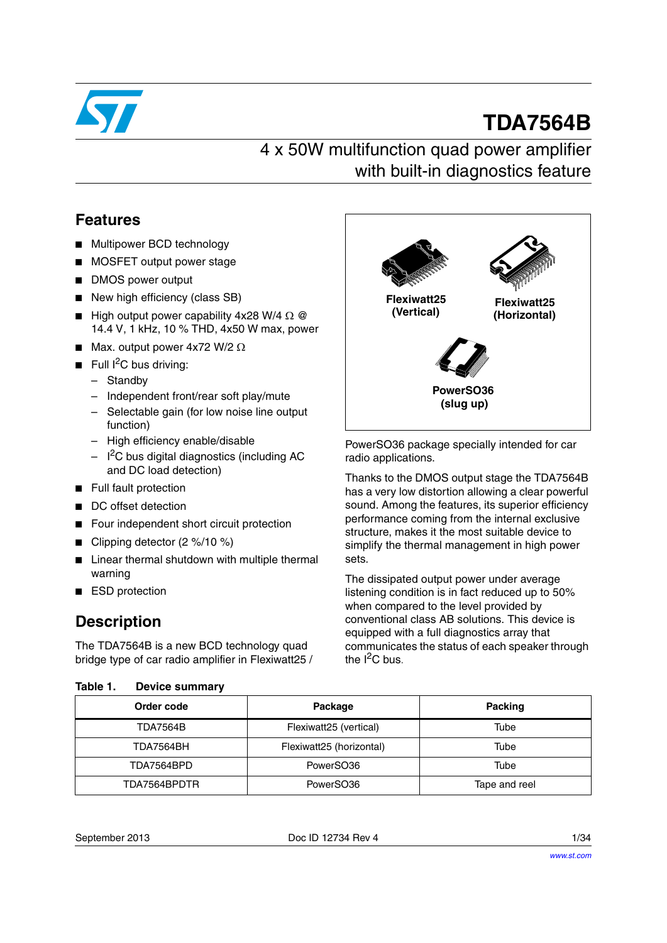

# **TDA7564B**

# 4 x 50W multifunction quad power amplifier with built-in diagnostics feature

## **Features**

- Multipower BCD technology
- MOSFET output power stage
- DMOS power output
- New high efficiency (class SB)
- High output power capability 4x28 W/4  $\Omega$  @ 14.4 V, 1 kHz, 10 % THD, 4x50 W max, power
- Max. output power  $4x72$  W/2  $\Omega$
- Full I<sup>2</sup>C bus driving:
	- Standby
	- Independent front/rear soft play/mute
	- Selectable gain (for low noise line output function)
	- High efficiency enable/disable
	- $-$  I<sup>2</sup>C bus digital diagnostics (including AC and DC load detection)
- Full fault protection
- DC offset detection
- Four independent short circuit protection
- Clipping detector (2 %/10 %)
- Linear thermal shutdown with multiple thermal warning
- ESD protection

## **Description**

The TDA7564B is a new BCD technology quad bridge type of car radio amplifier in Flexiwatt25 /

<span id="page-0-1"></span><span id="page-0-0"></span>

| Table 1. | Device summary |  |
|----------|----------------|--|



PowerSO36 package specially intended for car radio applications.

Thanks to the DMOS output stage the TDA7564B has a very low distortion allowing a clear powerful sound. Among the features, its superior efficiency performance coming from the internal exclusive structure, makes it the most suitable device to simplify the thermal management in high power sets.

The dissipated output power under average listening condition is in fact reduced up to 50% when compared to the level provided by conventional class AB solutions. This device is equipped with a full diagnostics array that communicates the status of each speaker through the  $I^2C$  bus.

| Order code      | Package                  | <b>Packing</b> |
|-----------------|--------------------------|----------------|
| <b>TDA7564B</b> | Flexiwatt25 (vertical)   | Tube           |
| TDA7564BH       | Flexiwatt25 (horizontal) | Tube           |
| TDA7564BPD      | PowerSO36                | Tube           |
| TDA7564BPDTR    | PowerSO36                | Tape and reel  |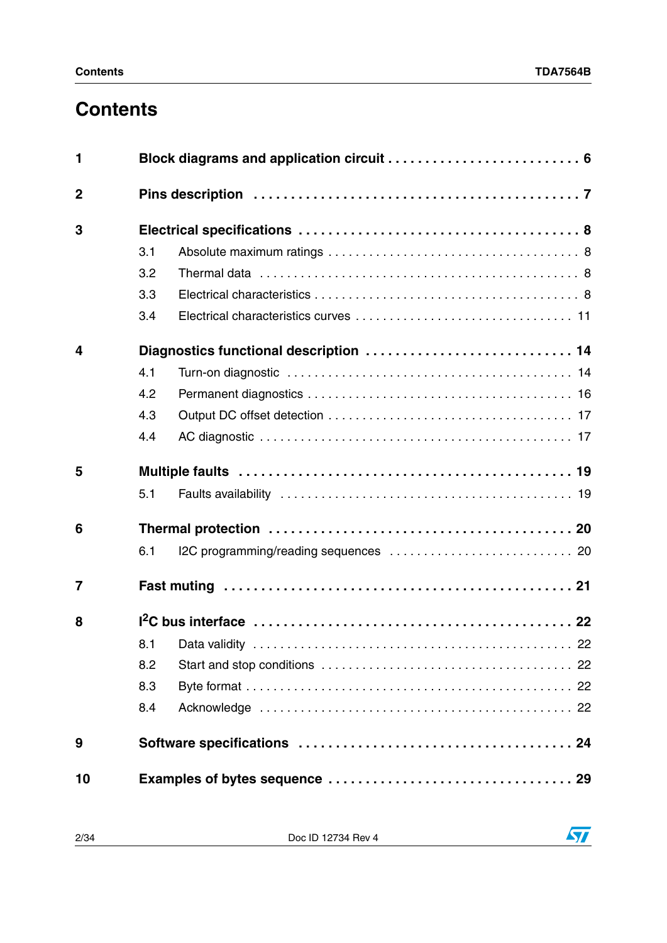# **Contents**

| 1              |     |  |  |  |  |
|----------------|-----|--|--|--|--|
| $\overline{2}$ |     |  |  |  |  |
| 3              |     |  |  |  |  |
|                | 3.1 |  |  |  |  |
|                | 3.2 |  |  |  |  |
|                | 3.3 |  |  |  |  |
|                | 3.4 |  |  |  |  |
| 4              |     |  |  |  |  |
|                | 4.1 |  |  |  |  |
|                | 4.2 |  |  |  |  |
|                | 4.3 |  |  |  |  |
|                | 4.4 |  |  |  |  |
| 5              |     |  |  |  |  |
|                | 5.1 |  |  |  |  |
| 6              |     |  |  |  |  |
|                | 6.1 |  |  |  |  |
| $\overline{7}$ |     |  |  |  |  |
| 8              |     |  |  |  |  |
|                | 8.1 |  |  |  |  |
|                | 8.2 |  |  |  |  |
|                | 8.3 |  |  |  |  |
|                | 8.4 |  |  |  |  |
| 9              |     |  |  |  |  |
| 10             |     |  |  |  |  |

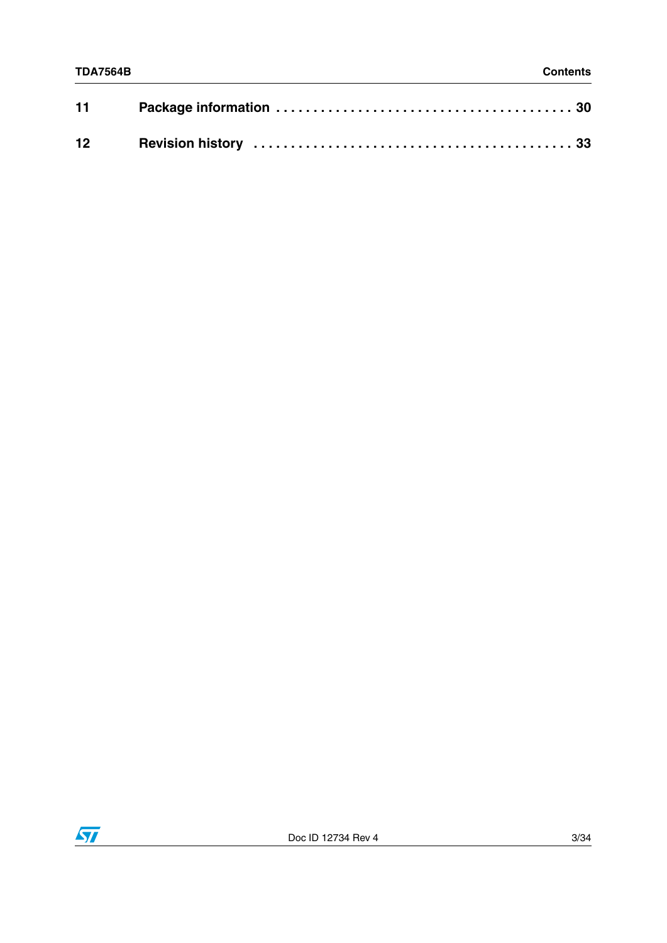| 11 |  |
|----|--|
|    |  |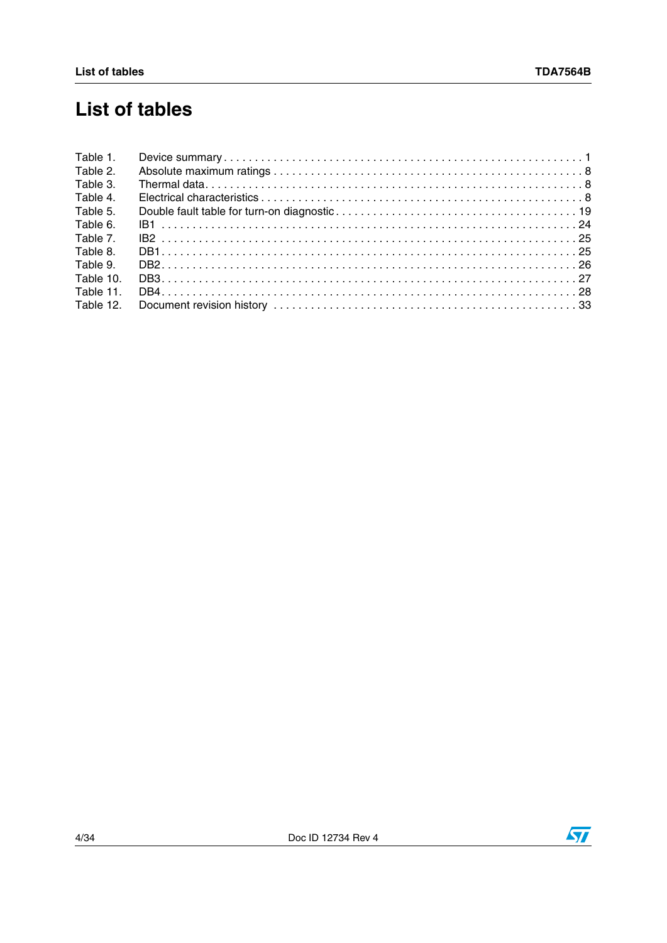# **List of tables**

| Table 1.  |  |
|-----------|--|
| Table 2.  |  |
| Table 3.  |  |
| Table 4.  |  |
| Table 5.  |  |
| Table 6.  |  |
| Table 7.  |  |
| Table 8.  |  |
| Table 9.  |  |
| Table 10. |  |
| Table 11. |  |
| Table 12. |  |

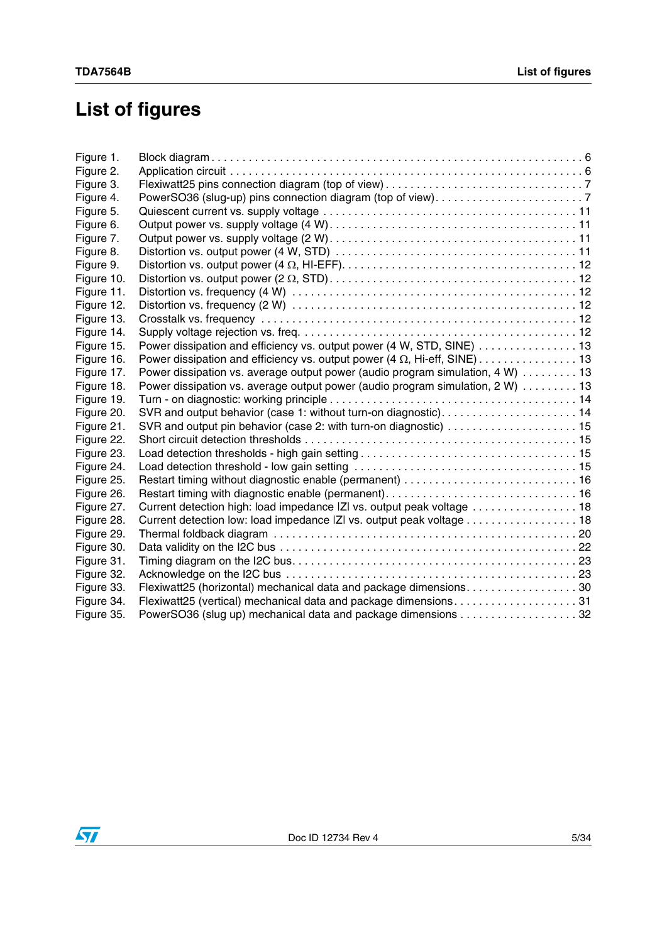# **List of figures**

| Figure 1.  |                                                                                  |
|------------|----------------------------------------------------------------------------------|
| Figure 2.  |                                                                                  |
| Figure 3.  |                                                                                  |
| Figure 4.  |                                                                                  |
| Figure 5.  |                                                                                  |
| Figure 6.  |                                                                                  |
| Figure 7.  |                                                                                  |
| Figure 8.  |                                                                                  |
| Figure 9.  |                                                                                  |
| Figure 10. |                                                                                  |
| Figure 11. |                                                                                  |
| Figure 12. |                                                                                  |
| Figure 13. |                                                                                  |
| Figure 14. |                                                                                  |
| Figure 15. | Power dissipation and efficiency vs. output power (4 W, STD, SINE) 13            |
| Figure 16. | Power dissipation and efficiency vs. output power (4 $\Omega$ , Hi-eff, SINE) 13 |
| Figure 17. | Power dissipation vs. average output power (audio program simulation, 4 W) 13    |
| Figure 18. | Power dissipation vs. average output power (audio program simulation, 2 W) 13    |
| Figure 19. |                                                                                  |
| Figure 20. | SVR and output behavior (case 1: without turn-on diagnostic) 14                  |
| Figure 21. |                                                                                  |
| Figure 22. |                                                                                  |
| Figure 23. |                                                                                  |
| Figure 24. |                                                                                  |
| Figure 25. |                                                                                  |
| Figure 26. |                                                                                  |
| Figure 27. | Current detection high: load impedance  Z  vs. output peak voltage 18            |
| Figure 28. | Current detection low: load impedance  Z  vs. output peak voltage 18             |
| Figure 29. |                                                                                  |
| Figure 30. |                                                                                  |
| Figure 31. |                                                                                  |
| Figure 32. |                                                                                  |
| Figure 33. | Flexiwatt25 (horizontal) mechanical data and package dimensions. 30              |
| Figure 34. | Flexiwatt25 (vertical) mechanical data and package dimensions31                  |
| Figure 35. | PowerSO36 (slug up) mechanical data and package dimensions 32                    |

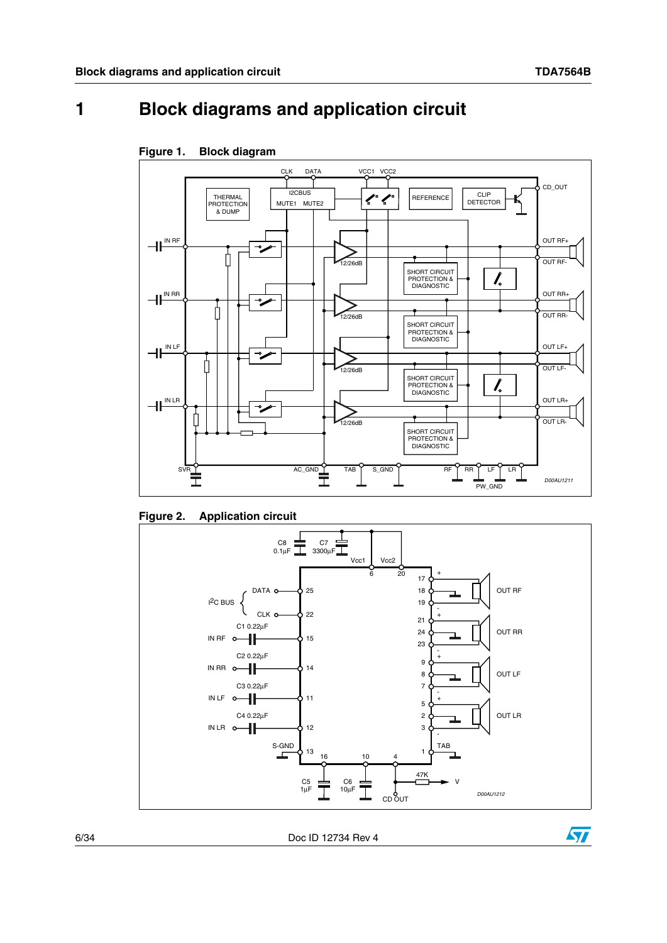# <span id="page-5-0"></span>**1 Block diagrams and application circuit**



<span id="page-5-1"></span>

<span id="page-5-2"></span>**Figure 2. Application circuit**



6/34 Doc ID 12734 Rev 4

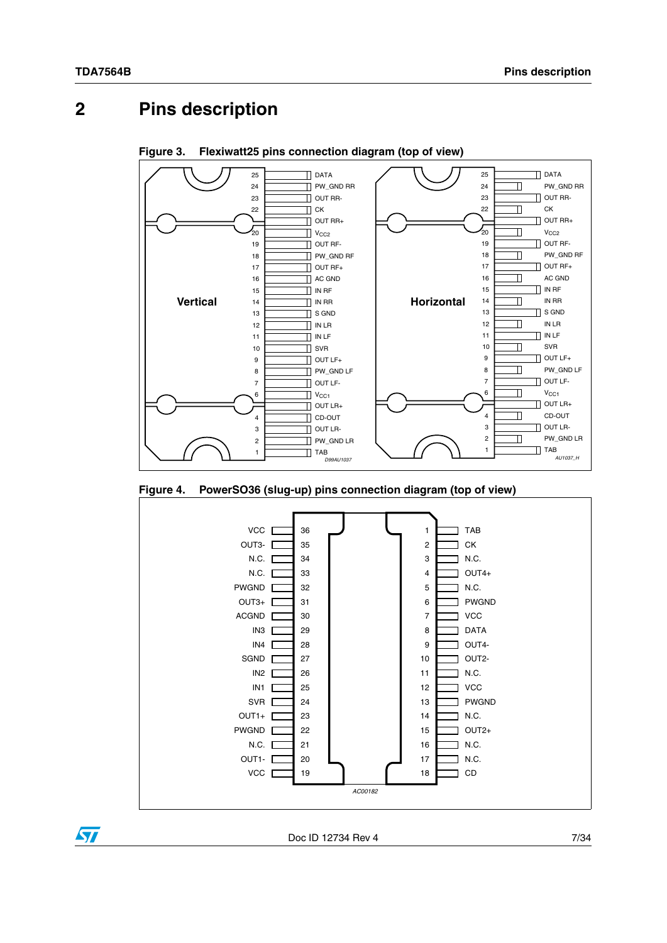# <span id="page-6-0"></span>**2 Pins description**



<span id="page-6-1"></span>**Figure 3. Flexiwatt25 pins connection diagram (top of view)**

<span id="page-6-2"></span>**Figure 4. PowerSO36 (slug-up) pins connection diagram (top of view)**



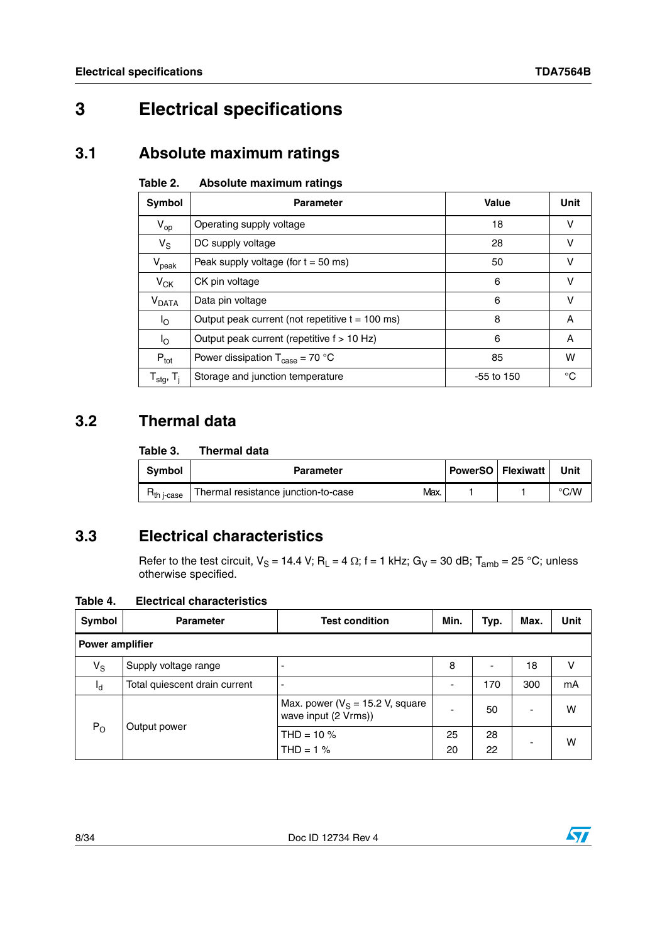# <span id="page-7-0"></span>**3 Electrical specifications**

## <span id="page-7-1"></span>**3.1 Absolute maximum ratings**

#### <span id="page-7-4"></span>Table 2. **Absolute maximum ratings**

| Symbol                                | <b>Parameter</b>                                    | Value        | Unit |
|---------------------------------------|-----------------------------------------------------|--------------|------|
| $V_{op}$                              | Operating supply voltage                            | 18           | v    |
| $V_{\rm S}$                           | DC supply voltage                                   | 28           | v    |
| $V_{\rm peak}$                        | Peak supply voltage (for $t = 50$ ms)               | 50           | v    |
| $V_{CK}$                              | CK pin voltage                                      | 6            | v    |
| $V_{\text{DATA}}$                     | Data pin voltage                                    | 6            | v    |
| $I_{\rm O}$                           | Output peak current (not repetitive $t = 100$ ms)   | 8            | A    |
| $I_{\rm O}$                           | Output peak current (repetitive f > 10 Hz)          | 6            | A    |
| $P_{\text{tot}}$                      | Power dissipation $T_{\text{case}} = 70 \text{ °C}$ | 85           | w    |
| ${\sf T}_{\sf stg},\,{\sf T}_{\sf j}$ | Storage and junction temperature                    | $-55$ to 150 | °C   |

## <span id="page-7-2"></span>**3.2 Thermal data**

#### <span id="page-7-5"></span>Table 3. **Thermal data**

| <b>Symbol</b>         | <b>Parameter</b>                            | PowerSO   Flexiwatt | Unit          |
|-----------------------|---------------------------------------------|---------------------|---------------|
| h i-case <sup>-</sup> | Thermal resistance junction-to-case<br>Max. |                     | $\degree$ C/W |

## <span id="page-7-3"></span>**3.3 Electrical characteristics**

Refer to the test circuit,  $V_S = 14.4$  V; R<sub>L</sub> = 4  $\Omega$ ; f = 1 kHz; G<sub>V</sub> = 30 dB; T<sub>amb</sub> = 25 °C; unless otherwise specified.

### <span id="page-7-6"></span>**Table 4. Electrical characteristics**

| Symbol                 | <b>Parameter</b>              | <b>Test condition</b>                                       | Min.     | Typ.     | Max. | <b>Unit</b> |
|------------------------|-------------------------------|-------------------------------------------------------------|----------|----------|------|-------------|
| <b>Power amplifier</b> |                               |                                                             |          |          |      |             |
| $V_S$                  | Supply voltage range          |                                                             | 8        |          | 18   | v           |
| ıq.                    | Total quiescent drain current |                                                             | ٠        | 170      | 300  | mA          |
| $P_{O}$                |                               | Max. power ( $V_S$ = 15.2 V, square<br>wave input (2 Vrms)) | -        | 50       |      | w           |
|                        | Output power                  | THD = $10\%$<br>$THD = 1%$                                  | 25<br>20 | 28<br>22 |      | W           |

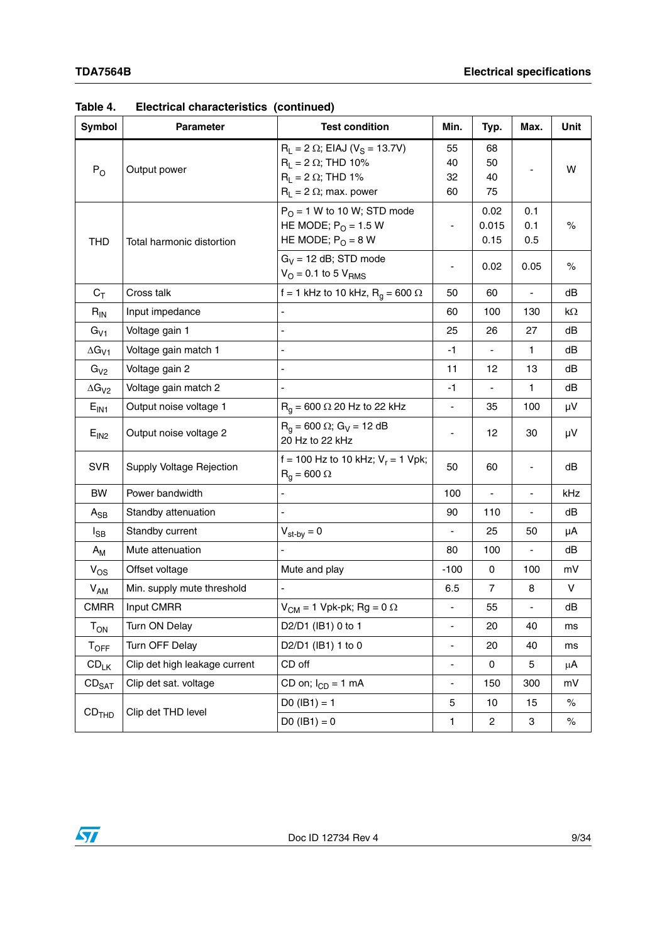| <b>Symbol</b>              | <b>Parameter</b>              | <b>Test condition</b>                                                                                                                          | Min.                         | Typ.                     | Max.                     | Unit      |
|----------------------------|-------------------------------|------------------------------------------------------------------------------------------------------------------------------------------------|------------------------------|--------------------------|--------------------------|-----------|
| $P_{O}$                    | Output power                  | $R_L = 2 \Omega$ ; EIAJ (V <sub>S</sub> = 13.7V)<br>$R_L$ = 2 $\Omega$ ; THD 10%<br>$R_L = 2 \Omega$ ; THD 1%<br>$R_L = 2 \Omega$ ; max. power | 55<br>40<br>32<br>60         | 68<br>50<br>40<br>75     |                          | W         |
| <b>THD</b>                 | Total harmonic distortion     | $P_O = 1$ W to 10 W; STD mode<br>HE MODE; $PO = 1.5 W$<br>HE MODE; $PO = 8 W$                                                                  |                              | 0.02<br>0.015<br>0.15    | 0.1<br>0.1<br>0.5        | $\%$      |
|                            |                               | $G_V = 12$ dB; STD mode<br>$V_{\rm O}$ = 0.1 to 5 $V_{\rm RMS}$                                                                                | ٠                            | 0.02                     | 0.05                     | $\%$      |
| $C_T$                      | Cross talk                    | f = 1 kHz to 10 kHz, $R_q$ = 600 $\Omega$                                                                                                      | 50                           | 60                       | $\overline{\phantom{a}}$ | dB        |
| $R_{IN}$                   | Input impedance               |                                                                                                                                                | 60                           | 100                      | 130                      | $k\Omega$ |
| $G_{V1}$                   | Voltage gain 1                | $\overline{a}$                                                                                                                                 | 25                           | 26                       | 27                       | dB        |
| $\Delta G_{V1}$            | Voltage gain match 1          | ÷,                                                                                                                                             | $-1$                         | $\overline{\phantom{a}}$ | $\mathbf{1}$             | dB        |
| $G_{V2}$                   | Voltage gain 2                | ÷,                                                                                                                                             | 11                           | 12                       | 13                       | dB        |
| $\Delta G_{V2}$            | Voltage gain match 2          | $\overline{a}$                                                                                                                                 | -1                           | $\overline{\phantom{a}}$ | 1.                       | dB        |
| E <sub>IN1</sub>           | Output noise voltage 1        | $R_q$ = 600 $\Omega$ 20 Hz to 22 kHz                                                                                                           | ÷,                           | 35                       | 100                      | μV        |
| E <sub>IN2</sub>           | Output noise voltage 2        | $R_0 = 600 \Omega$ ; G <sub>V</sub> = 12 dB<br>20 Hz to 22 kHz                                                                                 |                              | 12                       | 30                       | μV        |
| <b>SVR</b>                 | Supply Voltage Rejection      | f = 100 Hz to 10 kHz; $V_r$ = 1 Vpk;<br>$R_q = 600 \Omega$                                                                                     | 50                           | 60                       |                          | dB        |
| BW                         | Power bandwidth               | ÷,                                                                                                                                             | 100                          |                          |                          | kHz       |
| $A_{SB}$                   | Standby attenuation           |                                                                                                                                                | 90                           | 110                      | ÷,                       | dB        |
| $I_{SB}$                   | Standby current               | $V_{\text{st-by}} = 0$                                                                                                                         | ÷,                           | 25                       | 50                       | μA        |
| $A_{M}$                    | Mute attenuation              |                                                                                                                                                | 80                           | 100                      | $\blacksquare$           | dB        |
| $V_{OS}$                   | Offset voltage                | Mute and play                                                                                                                                  | $-100$                       | 0                        | 100                      | mV        |
| $V_{AM}$                   | Min. supply mute threshold    | ÷,                                                                                                                                             | 6.5                          | $\overline{7}$           | 8                        | V         |
| <b>CMRR</b>                | Input CMRR                    | $V_{CM}$ = 1 Vpk-pk; Rg = 0 $\Omega$                                                                                                           |                              | 55                       |                          | dB        |
| $\mathsf{T}_{\mathsf{ON}}$ | Turn ON Delay                 | D2/D1 (IB1) 0 to 1                                                                                                                             | ÷                            | 20                       | 40                       | ms        |
| $T_{OFF}$                  | Turn OFF Delay                | D2/D1 (IB1) 1 to 0                                                                                                                             | $\overline{a}$               | 20                       | 40                       | ms        |
| $CD_{LK}$                  | Clip det high leakage current | CD off                                                                                                                                         | $\qquad \qquad \blacksquare$ | 0                        | 5                        | μA        |
| CD <sub>SAT</sub>          | Clip det sat. voltage         | CD on; $I_{CD} = 1$ mA                                                                                                                         | Ĭ,                           | 150                      | 300                      | mV        |
|                            | Clip det THD level            | $D0 (IB1) = 1$                                                                                                                                 | 5                            | 10                       | 15                       | $\%$      |
| CD <sub>THD</sub>          |                               | $D0 (IB1) = 0$                                                                                                                                 | $\mathbf{1}$                 | $\overline{c}$           | 3                        | $\%$      |

**Table 4. Electrical characteristics (continued)**

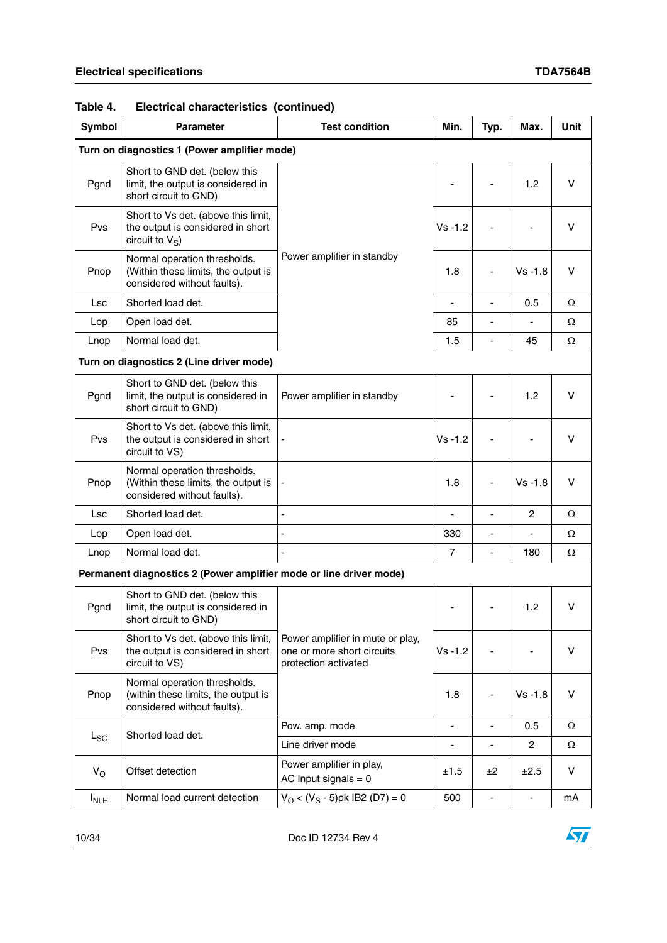| Table 4. | Electrical characteristics (continued) |  |
|----------|----------------------------------------|--|
|----------|----------------------------------------|--|

| Symbol      | <b>Parameter</b>                                                                                   | <b>Test condition</b>                                                                  | Min.           | Typ.                         | Max.           | <b>Unit</b> |  |
|-------------|----------------------------------------------------------------------------------------------------|----------------------------------------------------------------------------------------|----------------|------------------------------|----------------|-------------|--|
|             | Turn on diagnostics 1 (Power amplifier mode)                                                       |                                                                                        |                |                              |                |             |  |
| Pgnd        | Short to GND det. (below this<br>limit, the output is considered in<br>short circuit to GND)       |                                                                                        |                |                              | 1.2            | v           |  |
| Pvs         | Short to Vs det. (above this limit,<br>the output is considered in short<br>circuit to $V_S$ )     |                                                                                        | $Vs - 1.2$     |                              |                | v           |  |
| Pnop        | Normal operation thresholds.<br>(Within these limits, the output is<br>considered without faults). | Power amplifier in standby                                                             | 1.8            | ٠                            | $Vs - 1.8$     | v           |  |
| Lsc         | Shorted load det.                                                                                  |                                                                                        | ÷,             |                              | 0.5            | Ω           |  |
| Lop         | Open load det.                                                                                     |                                                                                        | 85             |                              |                | Ω           |  |
| Lnop        | Normal load det.                                                                                   |                                                                                        | 1.5            | $\overline{\phantom{0}}$     | 45             | Ω           |  |
|             | Turn on diagnostics 2 (Line driver mode)                                                           |                                                                                        |                |                              |                |             |  |
| Pgnd        | Short to GND det. (below this<br>limit, the output is considered in<br>short circuit to GND)       | Power amplifier in standby                                                             |                |                              | 1.2            | V           |  |
| Pvs         | Short to Vs det. (above this limit,<br>the output is considered in short<br>circuit to VS)         |                                                                                        | $Vs - 1.2$     |                              |                | v           |  |
| Pnop        | Normal operation thresholds.<br>(Within these limits, the output is<br>considered without faults). |                                                                                        | 1.8            |                              | $Vs - 1.8$     | $\vee$      |  |
| Lsc         | Shorted load det.                                                                                  | ÷,                                                                                     | L              | ä,                           | $\overline{c}$ | Ω           |  |
| Lop         | Open load det.                                                                                     | ÷,                                                                                     | 330            | $\qquad \qquad \blacksquare$ | ÷,             | Ω           |  |
| Lnop        | Normal load det.                                                                                   | L                                                                                      | $\overline{7}$ | $\frac{1}{2}$                | 180            | Ω           |  |
|             | Permanent diagnostics 2 (Power amplifier mode or line driver mode)                                 |                                                                                        |                |                              |                |             |  |
| Pgnd        | Short to GND det. (below this<br>limit, the output is considered in<br>short circuit to GND)       |                                                                                        |                |                              | 1.2            | V           |  |
| Pvs         | Short to Vs det. (above this limit,<br>the output is considered in short<br>circuit to VS)         | Power amplifier in mute or play,<br>one or more short circuits<br>protection activated | $Vs - 1.2$     |                              |                | V           |  |
| Pnop        | Normal operation thresholds.<br>(within these limits, the output is<br>considered without faults). |                                                                                        | 1.8            |                              | $Vs - 1.8$     | $\vee$      |  |
|             | Shorted load det.                                                                                  | Pow. amp. mode                                                                         | $\overline{a}$ | $\qquad \qquad \blacksquare$ | 0.5            | Ω           |  |
| $L_{SC}$    |                                                                                                    | Line driver mode                                                                       | ÷              | ä,                           | $\overline{c}$ | Ω           |  |
| $V_{\rm O}$ | Offset detection                                                                                   | Power amplifier in play,<br>AC Input signals $= 0$                                     | ±1.5           | ±2                           | ±2.5           | V           |  |
| <b>INLH</b> | Normal load current detection                                                                      | $V_O < (V_S - 5)$ pk IB2 (D7) = 0                                                      | 500            | $\frac{1}{2}$                | $\blacksquare$ | mA          |  |

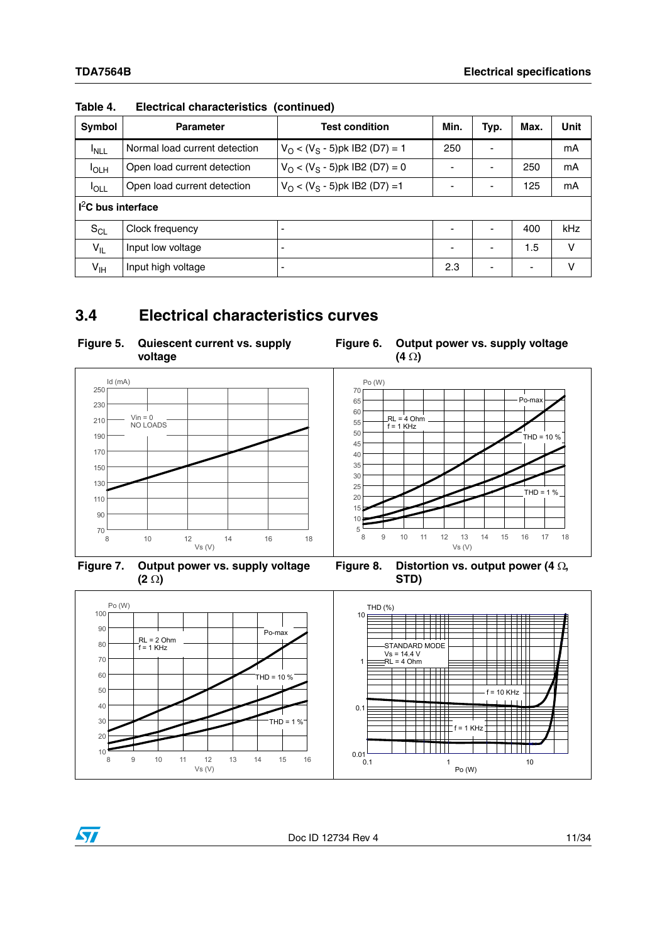| Symbol              | <b>Parameter</b>              | <b>Test condition</b>             | Min.                     | Typ.                     | Max.                     | Unit |
|---------------------|-------------------------------|-----------------------------------|--------------------------|--------------------------|--------------------------|------|
| <sup>I</sup> NLL    | Normal load current detection | $V_O < (V_S - 5)$ pk IB2 (D7) = 1 | 250                      | ٠                        |                          | mA   |
| <b>I</b> OLH        | Open load current detection   | $V_O < (V_S - 5)$ pk IB2 (D7) = 0 | ٠                        | ٠                        | 250                      | mA   |
| $I_{OLL}$           | Open load current detection   | $V_O < (V_S - 5)$ pk IB2 (D7) = 1 | ٠                        | $\overline{\phantom{0}}$ | 125                      | mA   |
| $I2C$ bus interface |                               |                                   |                          |                          |                          |      |
| $S_{CL}$            | Clock frequency               |                                   |                          |                          | 400                      | kHz  |
| $V_{IL}$            | Input low voltage             | -                                 | $\overline{\phantom{0}}$ | $\overline{\phantom{a}}$ | 1.5                      | v    |
| $V_{\text{IH}}$     | Input high voltage            |                                   | 2.3                      | $\overline{\phantom{a}}$ | $\overline{\phantom{0}}$ | v    |

**Table 4. Electrical characteristics (continued)**

## <span id="page-10-0"></span>**3.4 Electrical characteristics curves**

<span id="page-10-1"></span>

<span id="page-10-2"></span>



<span id="page-10-3"></span>**Figure 7. Output power vs. supply voltage (2 )**

<span id="page-10-4"></span>Figure 8. Distortion vs. output power (4  $\Omega$ , **STD)**



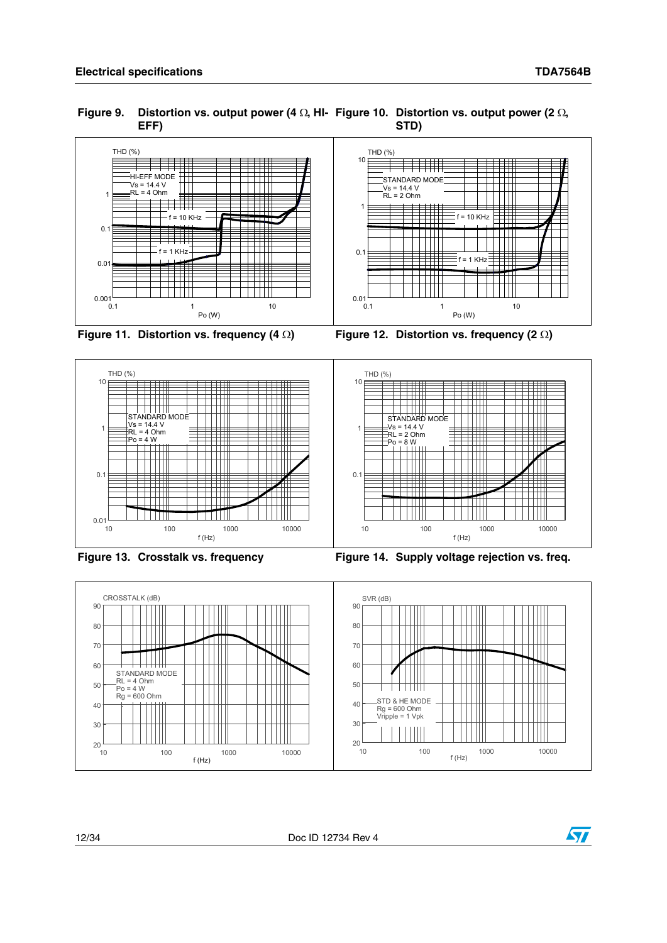<span id="page-11-0"></span>



<span id="page-11-2"></span>

<span id="page-11-3"></span><span id="page-11-1"></span>



<span id="page-11-4"></span>

<span id="page-11-5"></span>



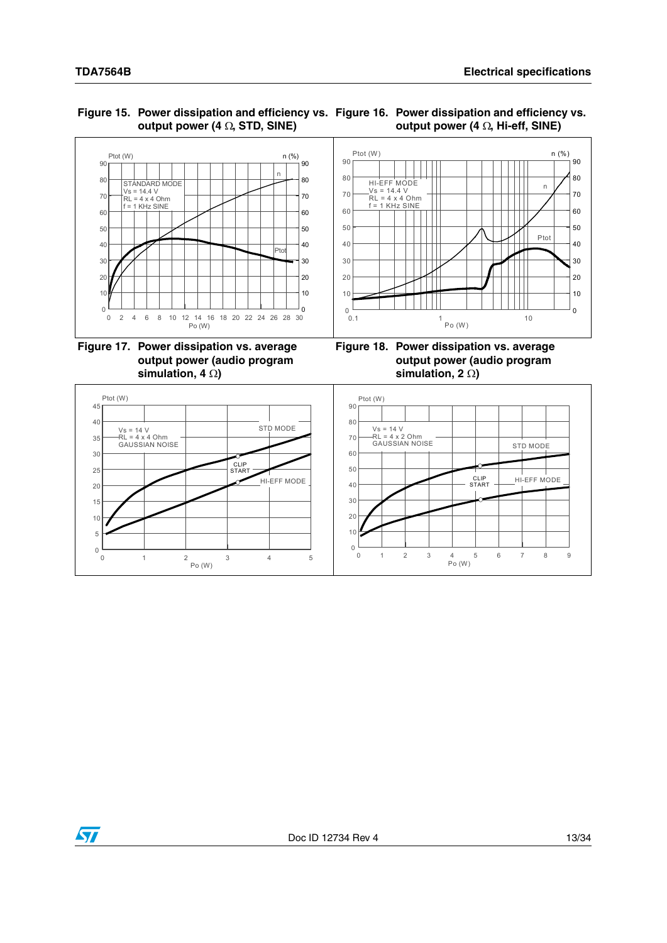#### <span id="page-12-0"></span>**Figure 15. Power dissipation and efficiency vs. Figure 16. Power dissipation and efficiency vs.**  output power  $(4 \Omega, STD, SINE)$ **output power (4**  $\Omega$ **, Hi-eff, SINE)**



<span id="page-12-2"></span>**Figure 17. Power dissipation vs. average output power (audio program**  simulation,  $4 \Omega$ )

<span id="page-12-3"></span><span id="page-12-1"></span>**Figure 18. Power dissipation vs. average output power (audio program**  simulation, 2  $\Omega$ )



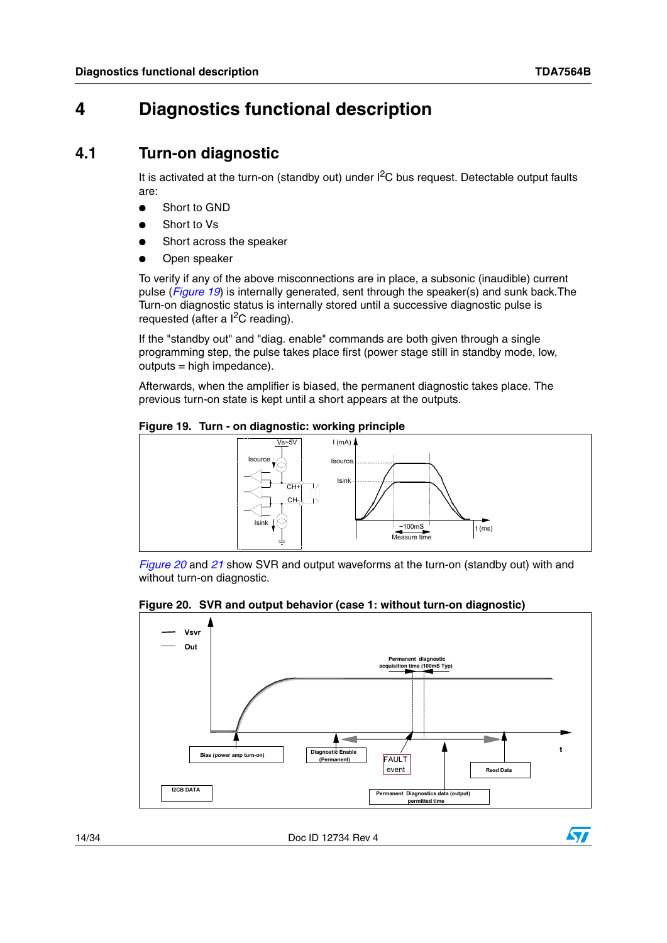# <span id="page-13-0"></span>**4 Diagnostics functional description**

### <span id="page-13-1"></span>**4.1 Turn-on diagnostic**

It is activated at the turn-on (standby out) under  $I<sup>2</sup>C$  bus request. Detectable output faults are:

- **Short to GND**
- Short to Vs
- Short across the speaker
- Open speaker

To verify if any of the above misconnections are in place, a subsonic (inaudible) current pulse (*[Figure 19](#page-13-2)*) is internally generated, sent through the speaker(s) and sunk back.The Turn-on diagnostic status is internally stored until a successive diagnostic pulse is requested (after a  $I^2C$  reading).

If the "standby out" and "diag. enable" commands are both given through a single programming step, the pulse takes place first (power stage still in standby mode, low, outputs = high impedance).

Afterwards, when the amplifier is biased, the permanent diagnostic takes place. The previous turn-on state is kept until a short appears at the outputs.

### <span id="page-13-2"></span>**Figure 19. Turn - on diagnostic: working principle**



*[Figure 20](#page-13-3)* and *[21](#page-14-0)* show SVR and output waveforms at the turn-on (standby out) with and without turn-on diagnostic.

### <span id="page-13-3"></span>**Figure 20. SVR and output behavior (case 1: without turn-on diagnostic)**



14/34 Doc ID 12734 Rev 4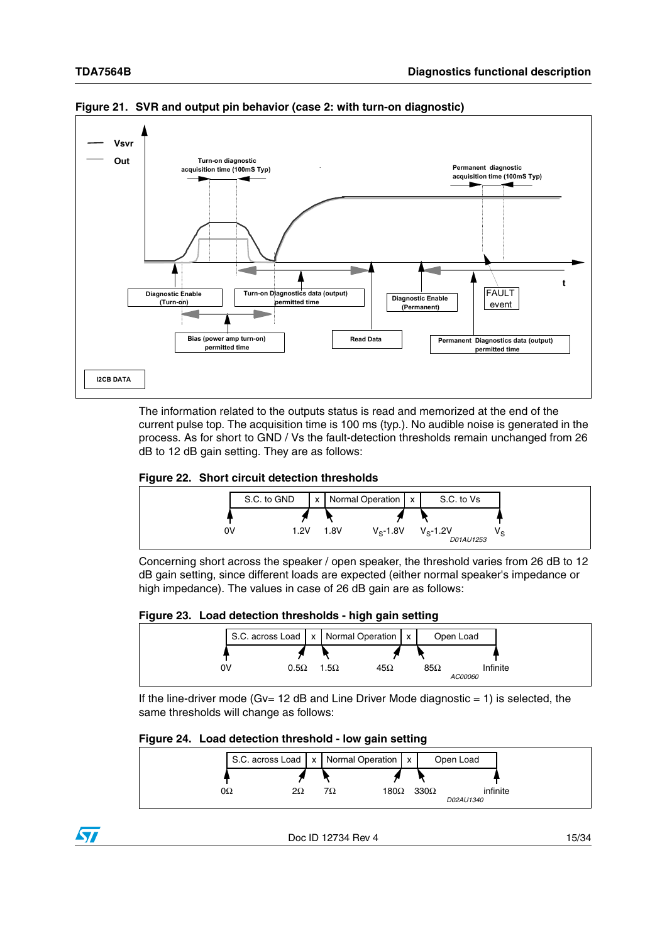

<span id="page-14-0"></span>**Figure 21. SVR and output pin behavior (case 2: with turn-on diagnostic)**

The information related to the outputs status is read and memorized at the end of the current pulse top. The acquisition time is 100 ms (typ.). No audible noise is generated in the process. As for short to GND / Vs the fault-detection thresholds remain unchanged from 26 dB to 12 dB gain setting. They are as follows:

#### <span id="page-14-1"></span>**Figure 22. Short circuit detection thresholds**



Concerning short across the speaker / open speaker, the threshold varies from 26 dB to 12 dB gain setting, since different loads are expected (either normal speaker's impedance or high impedance). The values in case of 26 dB gain are as follows:

<span id="page-14-2"></span>

| Figure 23. Load detection thresholds - high gain setting |  |  |
|----------------------------------------------------------|--|--|
|                                                          |  |  |



If the line-driver mode (Gv=  $12$  dB and Line Driver Mode diagnostic = 1) is selected, the same thresholds will change as follows:

#### <span id="page-14-3"></span>**Figure 24. Load detection threshold - low gain setting**



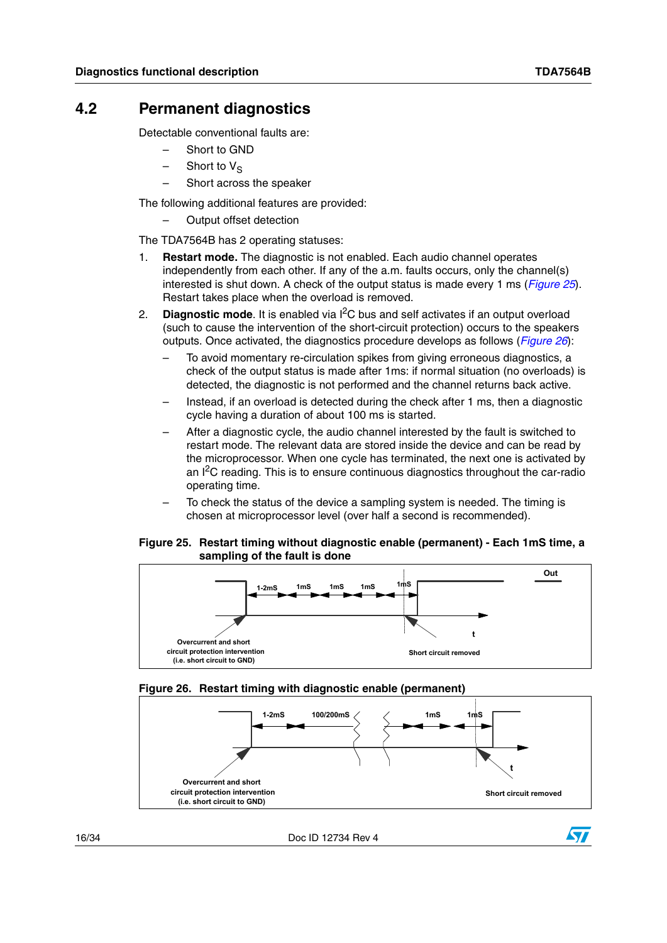### <span id="page-15-0"></span>**4.2 Permanent diagnostics**

Detectable conventional faults are:

- Short to GND
- $-$  Short to  $V_S$
- Short across the speaker

The following additional features are provided:

– Output offset detection

The TDA7564B has 2 operating statuses:

- 1. **Restart mode.** The diagnostic is not enabled. Each audio channel operates independently from each other. If any of the a.m. faults occurs, only the channel(s) interested is shut down. A check of the output status is made every 1 ms (*[Figure 25](#page-15-1)*). Restart takes place when the overload is removed.
- 2. **Diagnostic mode**. It is enabled via I2C bus and self activates if an output overload (such to cause the intervention of the short-circuit protection) occurs to the speakers outputs. Once activated, the diagnostics procedure develops as follows (*[Figure 26](#page-15-2)*):
	- To avoid momentary re-circulation spikes from giving erroneous diagnostics, a check of the output status is made after 1ms: if normal situation (no overloads) is detected, the diagnostic is not performed and the channel returns back active.
	- Instead, if an overload is detected during the check after 1 ms, then a diagnostic cycle having a duration of about 100 ms is started.
	- After a diagnostic cycle, the audio channel interested by the fault is switched to restart mode. The relevant data are stored inside the device and can be read by the microprocessor. When one cycle has terminated, the next one is activated by an  $I^2C$  reading. This is to ensure continuous diagnostics throughout the car-radio operating time.
	- To check the status of the device a sampling system is needed. The timing is chosen at microprocessor level (over half a second is recommended).

#### <span id="page-15-1"></span>**Figure 25. Restart timing without diagnostic enable (permanent) - Each 1mS time, a sampling of the fault is done**



#### <span id="page-15-2"></span>**Figure 26. Restart timing with diagnostic enable (permanent)**



16/34 Doc ID 12734 Rev 4

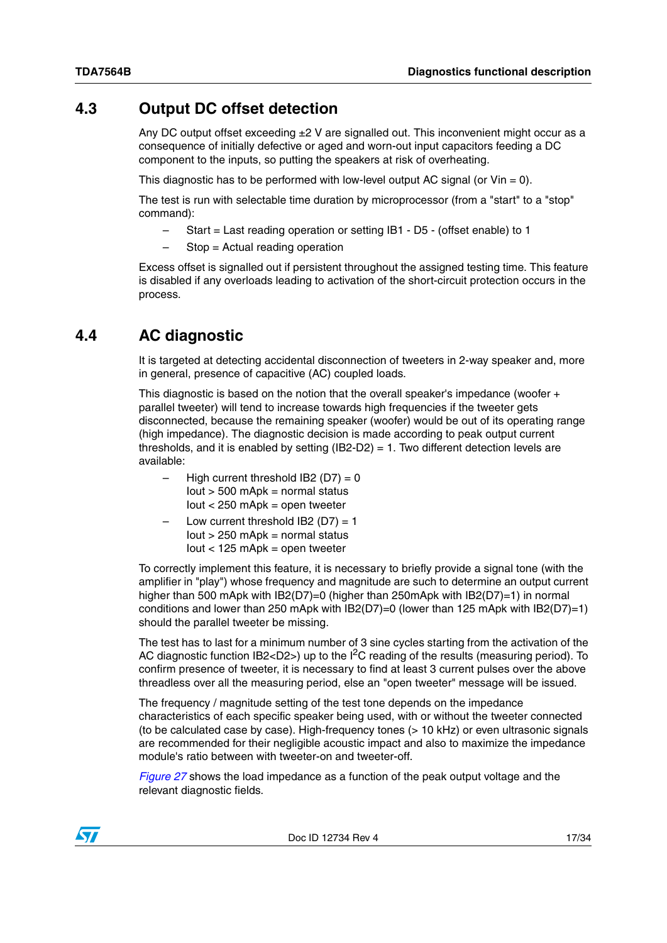### <span id="page-16-0"></span>**4.3 Output DC offset detection**

Any DC output offset exceeding  $\pm 2$  V are signalled out. This inconvenient might occur as a consequence of initially defective or aged and worn-out input capacitors feeding a DC component to the inputs, so putting the speakers at risk of overheating.

This diagnostic has to be performed with low-level output AC signal (or  $V$ in = 0).

The test is run with selectable time duration by microprocessor (from a "start" to a "stop" command):

- Start = Last reading operation or setting IB1 D5 (offset enable) to 1
- Stop = Actual reading operation

Excess offset is signalled out if persistent throughout the assigned testing time. This feature is disabled if any overloads leading to activation of the short-circuit protection occurs in the process.

## <span id="page-16-1"></span>**4.4 AC diagnostic**

It is targeted at detecting accidental disconnection of tweeters in 2-way speaker and, more in general, presence of capacitive (AC) coupled loads.

This diagnostic is based on the notion that the overall speaker's impedance (woofer + parallel tweeter) will tend to increase towards high frequencies if the tweeter gets disconnected, because the remaining speaker (woofer) would be out of its operating range (high impedance). The diagnostic decision is made according to peak output current thresholds, and it is enabled by setting  $(IB2-D2) = 1$ . Two different detection levels are available:

- High current threshold IB2  $(D7) = 0$  $I$ out > 500 mAp $k$  = normal status  $lout < 250$  mApk = open tweeter
- Low current threshold IB2 ( $D7$ ) = 1 Iout > 250 mApk = normal status  $lout < 125$  mApk = open tweeter

To correctly implement this feature, it is necessary to briefly provide a signal tone (with the amplifier in "play") whose frequency and magnitude are such to determine an output current higher than 500 mApk with IB2(D7)=0 (higher than 250mApk with IB2(D7)=1) in normal conditions and lower than 250 mApk with IB2(D7)=0 (lower than 125 mApk with IB2(D7)=1) should the parallel tweeter be missing.

The test has to last for a minimum number of 3 sine cycles starting from the activation of the AC diagnostic function IB2<D2>) up to the  $I^2C$  reading of the results (measuring period). To confirm presence of tweeter, it is necessary to find at least 3 current pulses over the above threadless over all the measuring period, else an "open tweeter" message will be issued.

The frequency / magnitude setting of the test tone depends on the impedance characteristics of each specific speaker being used, with or without the tweeter connected (to be calculated case by case). High-frequency tones (> 10 kHz) or even ultrasonic signals are recommended for their negligible acoustic impact and also to maximize the impedance module's ratio between with tweeter-on and tweeter-off.

*[Figure 27](#page-17-0)* shows the load impedance as a function of the peak output voltage and the relevant diagnostic fields.

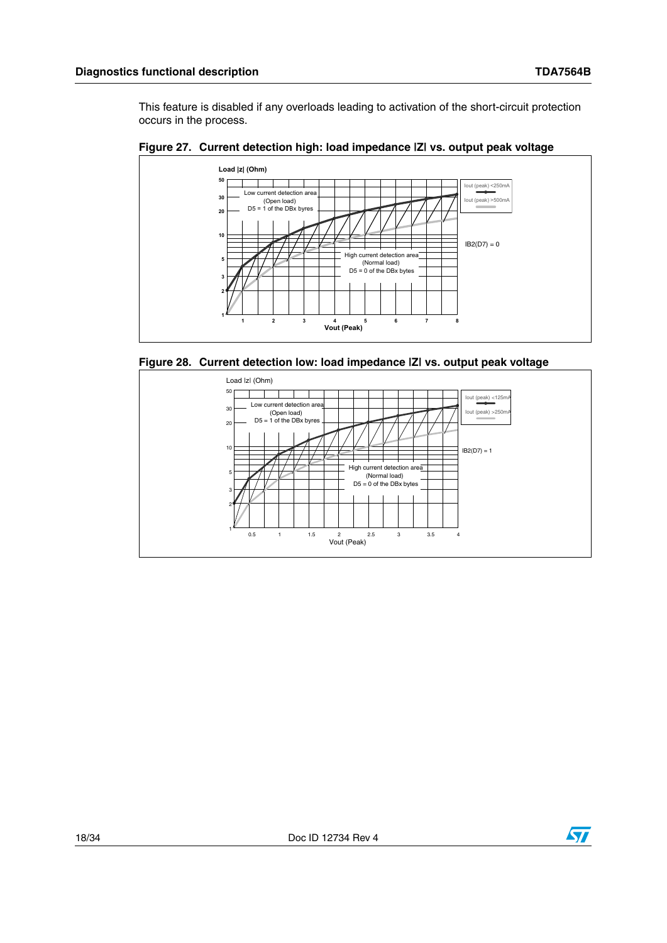This feature is disabled if any overloads leading to activation of the short-circuit protection occurs in the process.



<span id="page-17-0"></span>

<span id="page-17-1"></span>

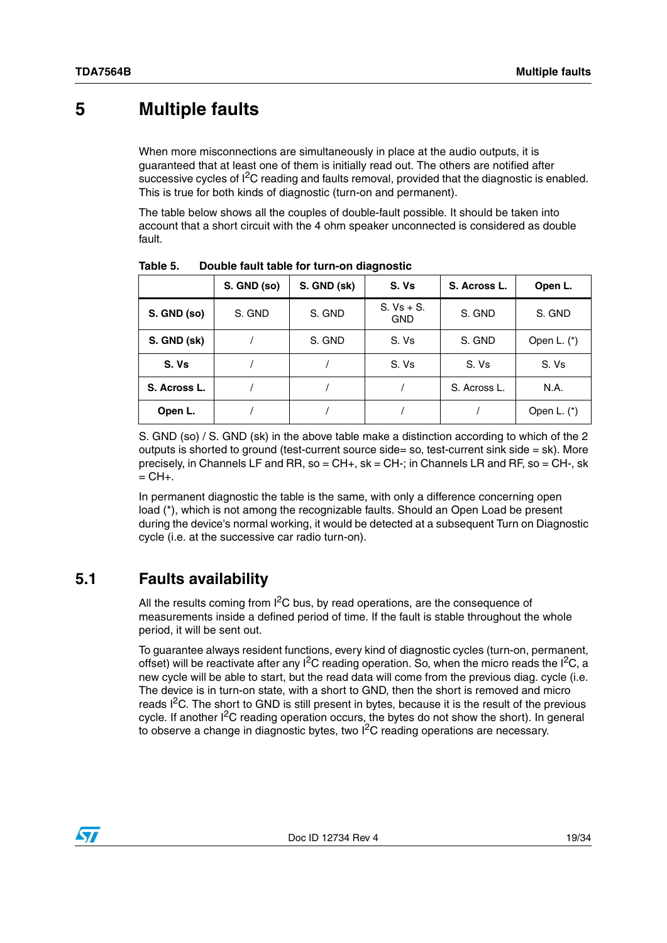## <span id="page-18-0"></span>**5 Multiple faults**

When more misconnections are simultaneously in place at the audio outputs, it is guaranteed that at least one of them is initially read out. The others are notified after successive cycles of  $I^2C$  reading and faults removal, provided that the diagnostic is enabled. This is true for both kinds of diagnostic (turn-on and permanent).

The table below shows all the couples of double-fault possible. It should be taken into account that a short circuit with the 4 ohm speaker unconnected is considered as double fault.

|              | S. GND (so) | S. GND (sk) | S. Vs                      | S. Across L. | Open L.       |  |  |
|--------------|-------------|-------------|----------------------------|--------------|---------------|--|--|
| S. GND (so)  | S. GND      | S. GND      | $S. Vs + S.$<br><b>GND</b> | S. GND       | S. GND        |  |  |
| S. GND (sk)  |             | S. GND      | S. Vs                      | S. GND       | Open L. $(*)$ |  |  |
| S. Vs        |             |             | S. Vs                      | S. Vs        | S. Vs         |  |  |
| S. Across L. |             |             |                            | S. Across L. | N.A.          |  |  |
| Open L.      |             |             |                            |              | Open L. $(*)$ |  |  |

<span id="page-18-2"></span>Table 5. **Table 5. Double fault table for turn-on diagnostic**

S. GND (so) / S. GND (sk) in the above table make a distinction according to which of the 2 outputs is shorted to ground (test-current source side= so, test-current sink side = sk). More precisely, in Channels LF and RR, so =  $CH+$ , sk =  $CH-$ ; in Channels LR and RF, so =  $CH-$ , sk  $=$  CH $+$ .

In permanent diagnostic the table is the same, with only a difference concerning open load (\*), which is not among the recognizable faults. Should an Open Load be present during the device's normal working, it would be detected at a subsequent Turn on Diagnostic cycle (i.e. at the successive car radio turn-on).

## <span id="page-18-1"></span>**5.1 Faults availability**

All the results coming from  $I^2C$  bus, by read operations, are the consequence of measurements inside a defined period of time. If the fault is stable throughout the whole period, it will be sent out.

To guarantee always resident functions, every kind of diagnostic cycles (turn-on, permanent, offset) will be reactivate after any  $1^2C$  reading operation. So, when the micro reads the  $1^2C$ , a new cycle will be able to start, but the read data will come from the previous diag. cycle (i.e. The device is in turn-on state, with a short to GND, then the short is removed and micro reads  $1<sup>2</sup>C$ . The short to GND is still present in bytes, because it is the result of the previous cycle. If another  $I<sup>2</sup>C$  reading operation occurs, the bytes do not show the short). In general to observe a change in diagnostic bytes, two I2C reading operations are necessary.

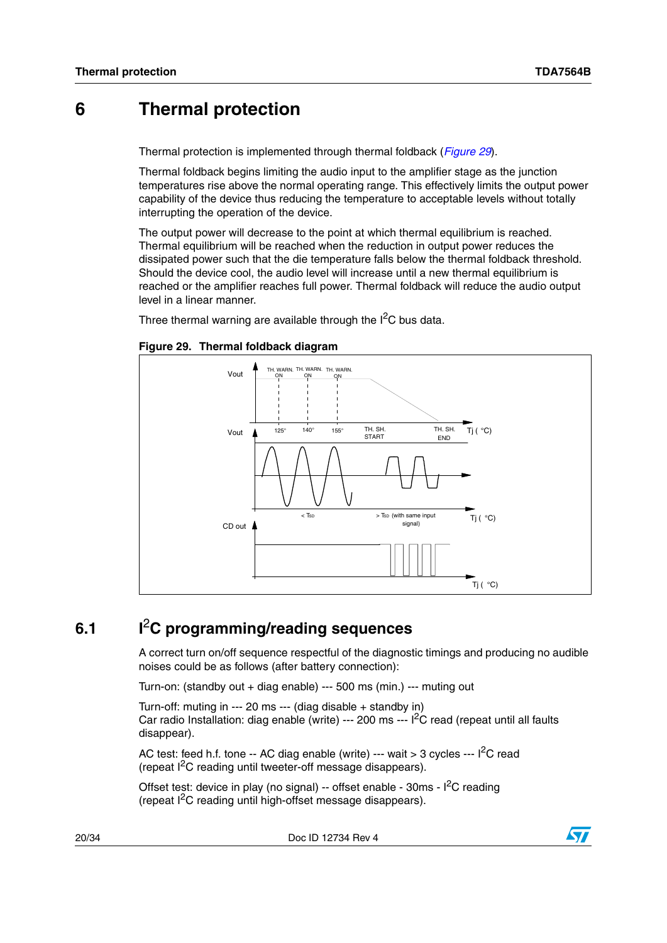## <span id="page-19-0"></span>**6 Thermal protection**

Thermal protection is implemented through thermal foldback (*[Figure 29](#page-19-2)*).

Thermal foldback begins limiting the audio input to the amplifier stage as the junction temperatures rise above the normal operating range. This effectively limits the output power capability of the device thus reducing the temperature to acceptable levels without totally interrupting the operation of the device.

The output power will decrease to the point at which thermal equilibrium is reached. Thermal equilibrium will be reached when the reduction in output power reduces the dissipated power such that the die temperature falls below the thermal foldback threshold. Should the device cool, the audio level will increase until a new thermal equilibrium is reached or the amplifier reaches full power. Thermal foldback will reduce the audio output level in a linear manner.

Three thermal warning are available through the  $I<sup>2</sup>C$  bus data.

#### <span id="page-19-2"></span>**Figure 29. Thermal foldback diagram**



## <span id="page-19-1"></span>**6.1 I**2**C programming/reading sequences**

A correct turn on/off sequence respectful of the diagnostic timings and producing no audible noises could be as follows (after battery connection):

Turn-on: (standby out + diag enable) --- 500 ms (min.) --- muting out

Turn-off: muting in --- 20 ms --- (diag disable + standby in) Car radio Installation: diag enable (write)  $-$ -- 200 ms  $-$ -  $1<sup>2</sup>C$  read (repeat until all faults disappear).

AC test: feed h.f. tone -- AC diag enable (write) --- wait > 3 cycles --- I<sup>2</sup>C read (repeat  $1^2C$  reading until tweeter-off message disappears).

Offset test: device in play (no signal) -- offset enable -  $30 \text{ms}$  -  $1^2$ C reading (repeat I2C reading until high-offset message disappears).

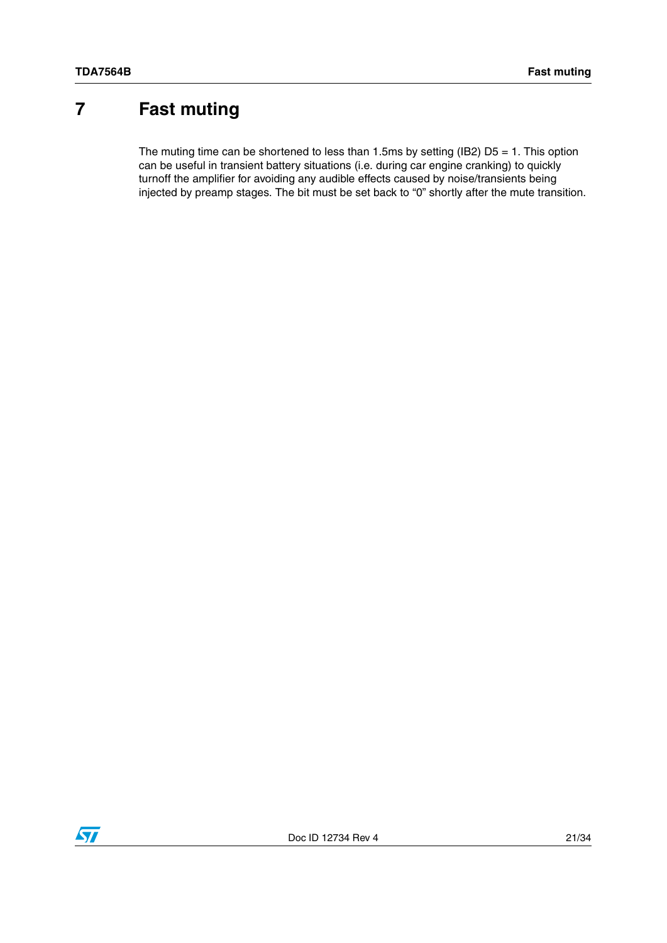# <span id="page-20-0"></span>**7 Fast muting**

The muting time can be shortened to less than 1.5ms by setting (IB2)  $D5 = 1$ . This option can be useful in transient battery situations (i.e. during car engine cranking) to quickly turnoff the amplifier for avoiding any audible effects caused by noise/transients being injected by preamp stages. The bit must be set back to "0" shortly after the mute transition.

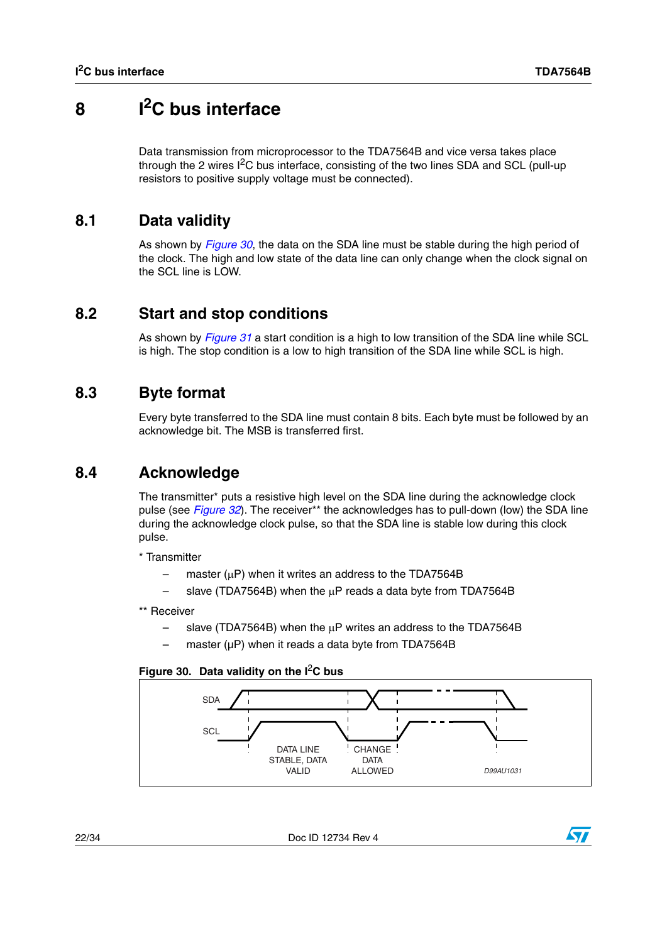# <span id="page-21-0"></span>**8 I2C bus interface**

Data transmission from microprocessor to the TDA7564B and vice versa takes place through the 2 wires  $I^2C$  bus interface, consisting of the two lines SDA and SCL (pull-up resistors to positive supply voltage must be connected).

## <span id="page-21-1"></span>**8.1 Data validity**

As shown by *[Figure 30](#page-21-5)*, the data on the SDA line must be stable during the high period of the clock. The high and low state of the data line can only change when the clock signal on the SCL line is LOW.

## <span id="page-21-2"></span>**8.2 Start and stop conditions**

As shown by *[Figure 31](#page-22-0)* a start condition is a high to low transition of the SDA line while SCL is high. The stop condition is a low to high transition of the SDA line while SCL is high.

### <span id="page-21-3"></span>**8.3 Byte format**

Every byte transferred to the SDA line must contain 8 bits. Each byte must be followed by an acknowledge bit. The MSB is transferred first.

## <span id="page-21-4"></span>**8.4 Acknowledge**

The transmitter\* puts a resistive high level on the SDA line during the acknowledge clock pulse (see *[Figure 32](#page-22-1)*). The receiver\*\* the acknowledges has to pull-down (low) the SDA line during the acknowledge clock pulse, so that the SDA line is stable low during this clock pulse.

\* Transmitter

- master ( $\mu$ P) when it writes an address to the TDA7564B
- slave (TDA7564B) when the  $\mu$ P reads a data byte from TDA7564B

### \*\* Receiver

- slave (TDA7564B) when the  $\mu$ P writes an address to the TDA7564B
- master (uP) when it reads a data byte from TDA7564B

### <span id="page-21-5"></span>**Figure 30. Data validity on the I**2**C bus**



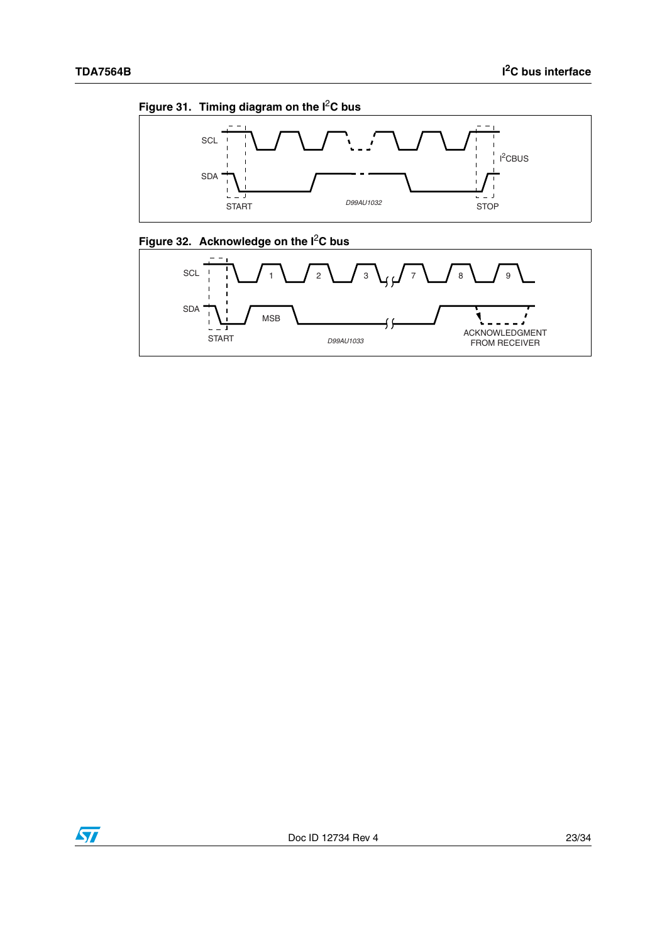<span id="page-22-0"></span>



<span id="page-22-1"></span>



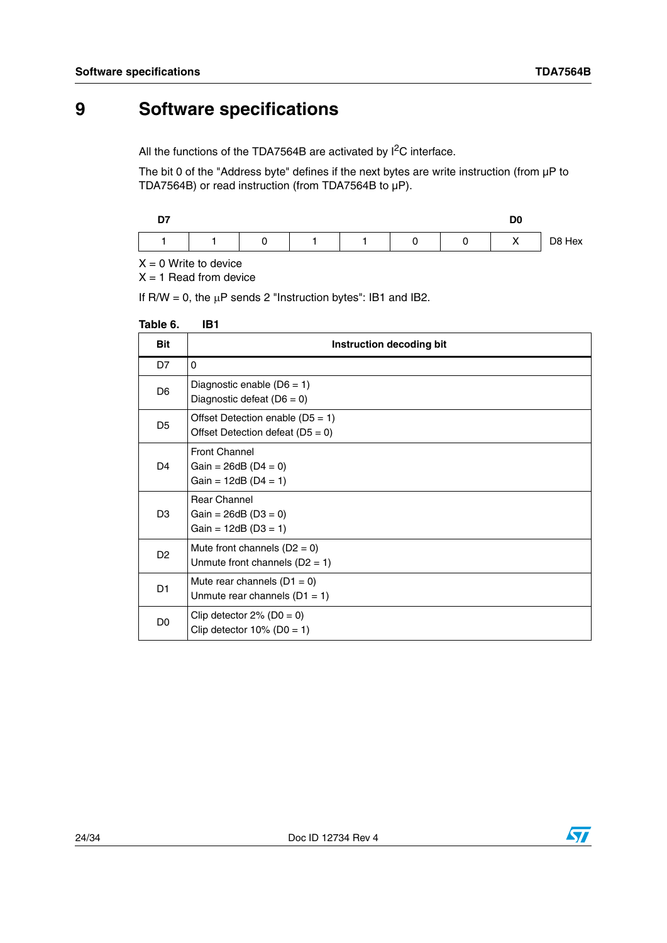# <span id="page-23-0"></span>**9 Software specifications**

All the functions of the TDA7564B are activated by  $I^2C$  interface.

The bit 0 of the "Address byte" defines if the next bytes are write instruction (from  $\mu$ P to TDA7564B) or read instruction (from TDA7564B to µP).

| $\sim$<br>. . |  |  |  | n <sub>o</sub><br>טע |        |
|---------------|--|--|--|----------------------|--------|
|               |  |  |  | $\cdots$             | D8 Hex |

 $X = 0$  Write to device

 $X = 1$  Read from device

If R/W = 0, the  $\mu$ P sends 2 "Instruction bytes": IB1 and IB2.

#### <span id="page-23-1"></span>**Table 6. IB1**

| <b>Bit</b>     | Instruction decoding bit                                                 |
|----------------|--------------------------------------------------------------------------|
| D7             | 0                                                                        |
| D <sub>6</sub> | Diagnostic enable $(D6 = 1)$<br>Diagnostic defeat $(D6 = 0)$             |
| D <sub>5</sub> | Offset Detection enable $(D5 = 1)$<br>Offset Detection defeat $(D5 = 0)$ |
| D <sub>4</sub> | <b>Front Channel</b><br>Gain = $26dB$ (D4 = 0)<br>Gain = $12dB$ (D4 = 1) |
| D <sub>3</sub> | <b>Rear Channel</b><br>Gain = $26dB$ (D3 = 0)<br>$Gain = 12dB (D3 = 1)$  |
| D <sub>2</sub> | Mute front channels $(D2 = 0)$<br>Unmute front channels $(D2 = 1)$       |
| D <sub>1</sub> | Mute rear channels $(D1 = 0)$<br>Unmute rear channels $(D1 = 1)$         |
| D <sub>0</sub> | Clip detector $2\%$ (D0 = 0)<br>Clip detector $10\%$ (D0 = 1)            |

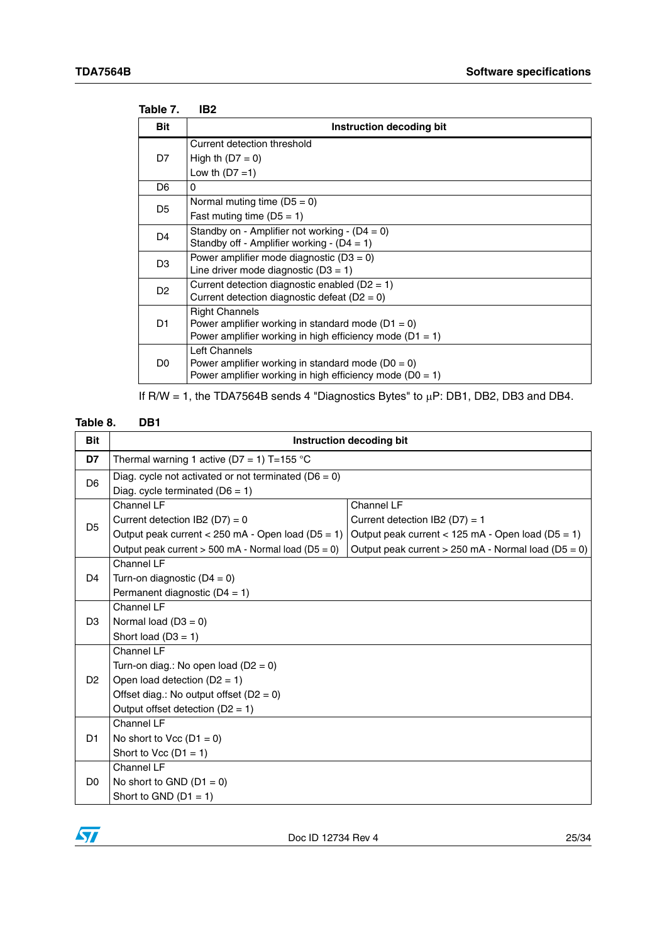<span id="page-24-0"></span>

| Instruction decoding bit |  |  |  |  |
|--------------------------|--|--|--|--|
|                          |  |  |  |  |
|                          |  |  |  |  |
|                          |  |  |  |  |
|                          |  |  |  |  |
|                          |  |  |  |  |
|                          |  |  |  |  |
|                          |  |  |  |  |
|                          |  |  |  |  |
|                          |  |  |  |  |
|                          |  |  |  |  |
|                          |  |  |  |  |
|                          |  |  |  |  |
|                          |  |  |  |  |
|                          |  |  |  |  |
|                          |  |  |  |  |
|                          |  |  |  |  |
|                          |  |  |  |  |
|                          |  |  |  |  |

If  $R/W = 1$ , the TDA7564B sends 4 "Diagnostics Bytes" to  $\mu$ P: DB1, DB2, DB3 and DB4.

#### <span id="page-24-1"></span>DB1 Table 8.

| <b>Bit</b>     | Instruction decoding bit                                                                      |                                                       |  |  |  |  |  |  |
|----------------|-----------------------------------------------------------------------------------------------|-------------------------------------------------------|--|--|--|--|--|--|
| D7             | Thermal warning 1 active (D7 = 1) T=155 °C                                                    |                                                       |  |  |  |  |  |  |
| D <sub>6</sub> | Diag. cycle not activated or not terminated ( $D6 = 0$ )<br>Diag. cycle terminated $(D6 = 1)$ |                                                       |  |  |  |  |  |  |
|                | Channel LF                                                                                    | Channel LF                                            |  |  |  |  |  |  |
| D <sub>5</sub> | Current detection IB2 ( $D7$ ) = 0                                                            | Current detection IB2 ( $D7$ ) = 1                    |  |  |  |  |  |  |
|                | Output peak current $<$ 250 mA - Open load (D5 = 1)                                           | Output peak current $<$ 125 mA - Open load (D5 = 1)   |  |  |  |  |  |  |
|                | Output peak current $> 500$ mA - Normal load (D5 = 0)                                         | Output peak current $> 250$ mA - Normal load (D5 = 0) |  |  |  |  |  |  |
|                | Channel LF                                                                                    |                                                       |  |  |  |  |  |  |
| D <sub>4</sub> | Turn-on diagnostic $(D4 = 0)$                                                                 |                                                       |  |  |  |  |  |  |
|                | Permanent diagnostic $(D4 = 1)$                                                               |                                                       |  |  |  |  |  |  |
|                | Channel LF                                                                                    |                                                       |  |  |  |  |  |  |
| D <sub>3</sub> | Normal load $(D3 = 0)$                                                                        |                                                       |  |  |  |  |  |  |
|                | Short load $(D3 = 1)$                                                                         |                                                       |  |  |  |  |  |  |
|                | Channel LF                                                                                    |                                                       |  |  |  |  |  |  |
|                | Turn-on diag.: No open load ( $D2 = 0$ )                                                      |                                                       |  |  |  |  |  |  |
| D <sub>2</sub> | Open load detection $(D2 = 1)$                                                                |                                                       |  |  |  |  |  |  |
|                | Offset diag.: No output offset $(D2 = 0)$                                                     |                                                       |  |  |  |  |  |  |
|                | Output offset detection $(D2 = 1)$                                                            |                                                       |  |  |  |  |  |  |
|                | Channel LF                                                                                    |                                                       |  |  |  |  |  |  |
| D <sub>1</sub> | No short to Vcc $(D1 = 0)$                                                                    |                                                       |  |  |  |  |  |  |
|                | Short to Vcc $(D1 = 1)$                                                                       |                                                       |  |  |  |  |  |  |
|                | Channel LF                                                                                    |                                                       |  |  |  |  |  |  |
| D <sub>0</sub> | No short to GND $(D1 = 0)$                                                                    |                                                       |  |  |  |  |  |  |
|                | Short to GND $(D1 = 1)$                                                                       |                                                       |  |  |  |  |  |  |

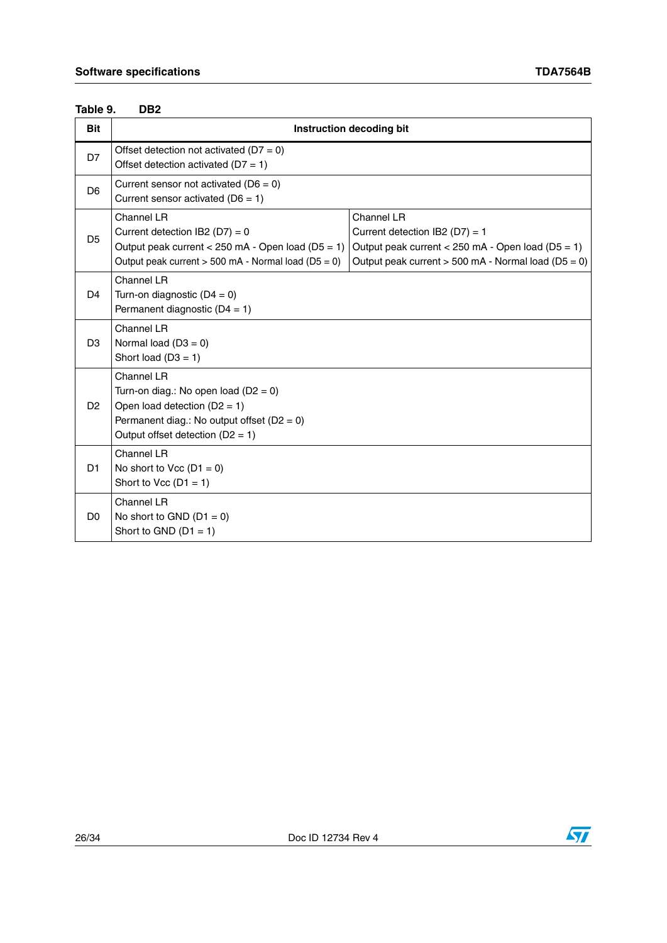#### <span id="page-25-0"></span>DB<sub>2</sub> Table 9.

| <b>Bit</b>     |                                                                                                                                                                                    | Instruction decoding bit                                                                                                                                       |
|----------------|------------------------------------------------------------------------------------------------------------------------------------------------------------------------------------|----------------------------------------------------------------------------------------------------------------------------------------------------------------|
| D7             | Offset detection not activated ( $D7 = 0$ )<br>Offset detection activated ( $D7 = 1$ )                                                                                             |                                                                                                                                                                |
| D <sub>6</sub> | Current sensor not activated ( $D6 = 0$ )<br>Current sensor activated ( $D6 = 1$ )                                                                                                 |                                                                                                                                                                |
| D <sub>5</sub> | Channel LR<br>Current detection IB2 ( $D7$ ) = 0<br>Output peak current < 250 mA - Open load ( $D5 = 1$ )<br>Output peak current $> 500$ mA - Normal load (D5 = 0)                 | Channel LR<br>Current detection IB2 (D7) = 1<br>Output peak current < 250 mA - Open load ( $D5 = 1$ )<br>Output peak current $>$ 500 mA - Normal load (D5 = 0) |
| D <sub>4</sub> | Channel LR<br>Turn-on diagnostic $(D4 = 0)$<br>Permanent diagnostic $(D4 = 1)$                                                                                                     |                                                                                                                                                                |
| D <sub>3</sub> | Channel LR<br>Normal load $(D3 = 0)$<br>Short load $(D3 = 1)$                                                                                                                      |                                                                                                                                                                |
| D <sub>2</sub> | Channel LR<br>Turn-on diag.: No open load ( $D2 = 0$ )<br>Open load detection $(D2 = 1)$<br>Permanent diag.: No output offset ( $D2 = 0$ )<br>Output offset detection ( $D2 = 1$ ) |                                                                                                                                                                |
| D <sub>1</sub> | Channel LR<br>No short to Vcc $(D1 = 0)$<br>Short to Vcc $(D1 = 1)$                                                                                                                |                                                                                                                                                                |
| D <sub>0</sub> | Channel LR<br>No short to GND $(D1 = 0)$<br>Short to GND $(D1 = 1)$                                                                                                                |                                                                                                                                                                |

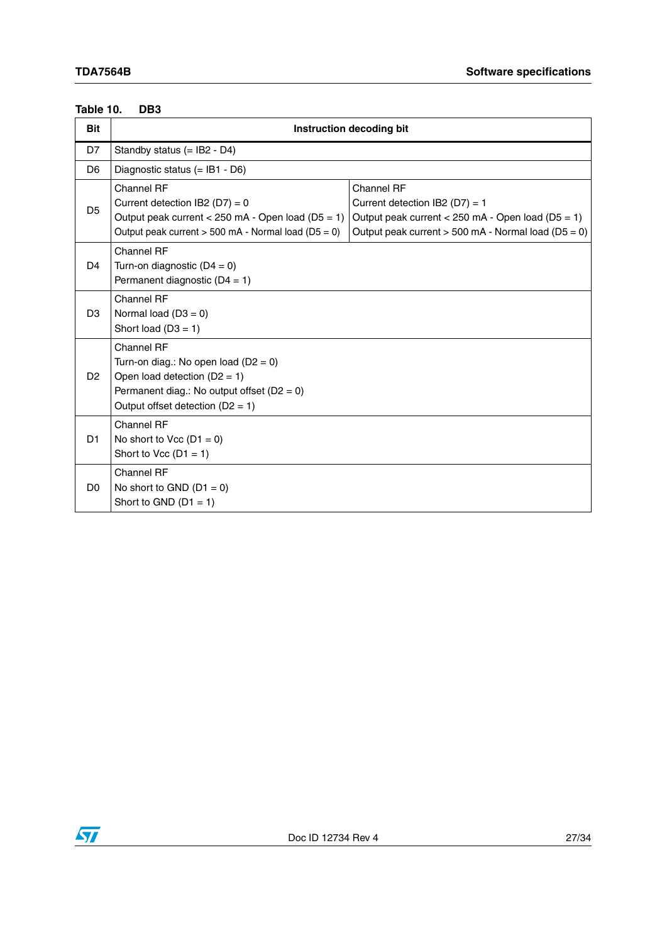#### <span id="page-26-0"></span>DB<sub>3</sub> **Table 10.**

| <b>Bit</b>     | Instruction decoding bit                                                                                                                                                       |                                                                                                                                                                  |  |  |  |  |  |
|----------------|--------------------------------------------------------------------------------------------------------------------------------------------------------------------------------|------------------------------------------------------------------------------------------------------------------------------------------------------------------|--|--|--|--|--|
| D7             | Standby status $(=$ IB2 - D4)                                                                                                                                                  |                                                                                                                                                                  |  |  |  |  |  |
| D <sub>6</sub> | Diagnostic status $(=$ IB1 - D6)                                                                                                                                               |                                                                                                                                                                  |  |  |  |  |  |
| D <sub>5</sub> | Channel RF<br>Current detection IB2 (D7) = $0$<br>Output peak current < $250$ mA - Open load (D5 = 1)<br>Output peak current $> 500$ mA - Normal load (D5 = 0)                 | Channel RF<br>Current detection IB2 (D7) = $1$<br>Output peak current < 250 mA - Open load ( $D5 = 1$ )<br>Output peak current $> 500$ mA - Normal load (D5 = 0) |  |  |  |  |  |
| D <sub>4</sub> | Channel RF<br>Turn-on diagnostic $(D4 = 0)$<br>Permanent diagnostic $(D4 = 1)$                                                                                                 |                                                                                                                                                                  |  |  |  |  |  |
| D <sub>3</sub> | Channel RF<br>Normal load $(D3 = 0)$<br>Short load $(D3 = 1)$                                                                                                                  |                                                                                                                                                                  |  |  |  |  |  |
| D <sub>2</sub> | Channel RF<br>Turn-on diag.: No open load ( $D2 = 0$ )<br>Open load detection $(D2 = 1)$<br>Permanent diag.: No output offset $(D2 = 0)$<br>Output offset detection $(D2 = 1)$ |                                                                                                                                                                  |  |  |  |  |  |
| D <sub>1</sub> | Channel RF<br>No short to Vcc $(D1 = 0)$<br>Short to Vcc $(D1 = 1)$                                                                                                            |                                                                                                                                                                  |  |  |  |  |  |
| D <sub>0</sub> | Channel RF<br>No short to GND $(D1 = 0)$<br>Short to GND $(D1 = 1)$                                                                                                            |                                                                                                                                                                  |  |  |  |  |  |

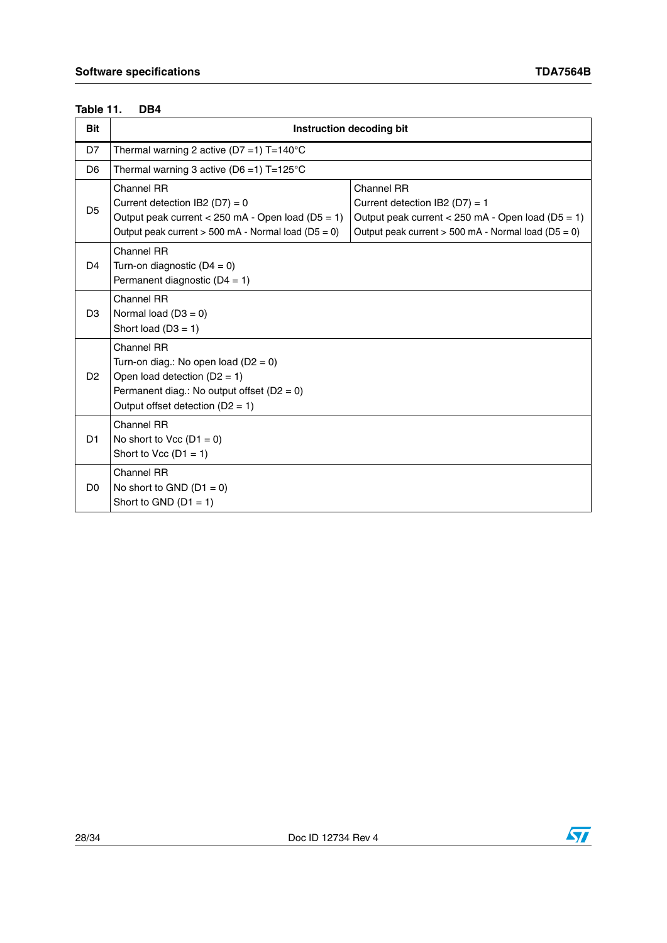#### <span id="page-27-0"></span>DB4 **Table 11.**

| <b>Bit</b>     | Instruction decoding bit                                                                                                                                                                                                                                                                                                           |  |  |  |  |  |  |
|----------------|------------------------------------------------------------------------------------------------------------------------------------------------------------------------------------------------------------------------------------------------------------------------------------------------------------------------------------|--|--|--|--|--|--|
| D7             | Thermal warning 2 active (D7 =1) $T=140^{\circ}C$                                                                                                                                                                                                                                                                                  |  |  |  |  |  |  |
| D <sub>6</sub> | Thermal warning 3 active ( $D6 = 1$ ) T=125°C                                                                                                                                                                                                                                                                                      |  |  |  |  |  |  |
| D <sub>5</sub> | Channel RR<br>Channel RR<br>Current detection IB2 (D7) = $0$<br>Current detection IB2 ( $D7$ ) = 1<br>Output peak current < 250 mA - Open load ( $D5 = 1$ )<br>Output peak current < 250 mA - Open load (D5 = 1)<br>Output peak current $> 500$ mA - Normal load (D5 = 0)<br>Output peak current $>$ 500 mA - Normal load (D5 = 0) |  |  |  |  |  |  |
| D <sub>4</sub> | Channel RR<br>Turn-on diagnostic $(D4 = 0)$<br>Permanent diagnostic $(D4 = 1)$                                                                                                                                                                                                                                                     |  |  |  |  |  |  |
| D <sub>3</sub> | Channel RR<br>Normal load $(D3 = 0)$<br>Short load $(D3 = 1)$                                                                                                                                                                                                                                                                      |  |  |  |  |  |  |
| D <sub>2</sub> | Channel RR<br>Turn-on diag.: No open load ( $D2 = 0$ )<br>Open load detection $(D2 = 1)$<br>Permanent diag.: No output offset $(D2 = 0)$<br>Output offset detection ( $D2 = 1$ )                                                                                                                                                   |  |  |  |  |  |  |
| D <sub>1</sub> | Channel RR<br>No short to Vcc $(D1 = 0)$<br>Short to Vcc $(D1 = 1)$                                                                                                                                                                                                                                                                |  |  |  |  |  |  |
| D <sub>0</sub> | <b>Channel RR</b><br>No short to GND $(D1 = 0)$<br>Short to GND $(D1 = 1)$                                                                                                                                                                                                                                                         |  |  |  |  |  |  |

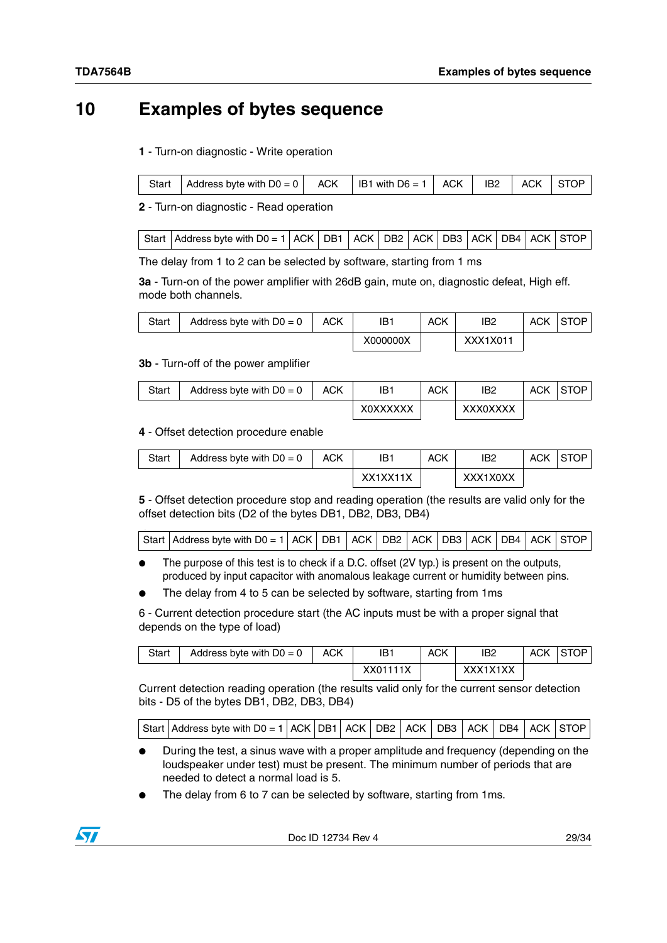# <span id="page-28-0"></span>**10 Examples of bytes sequence**

### **1** - Turn-on diagnostic - Write operation

|  | Start | Address byte with $D0 = 0$   ACK |  | IB1 with $D6 = 1$   ACK   IB2   ACK   STOP |  |  |  |  |
|--|-------|----------------------------------|--|--------------------------------------------|--|--|--|--|
|--|-------|----------------------------------|--|--------------------------------------------|--|--|--|--|

**2** - Turn-on diagnostic - Read operation

|  | Start   Address byte with D0 = 1   ACK   DB1   ACK   DB2   ACK   DB3   ACK   DB4   ACK   STOP |  |  |  |  |  |  |  |  |  |  |
|--|-----------------------------------------------------------------------------------------------|--|--|--|--|--|--|--|--|--|--|
|--|-----------------------------------------------------------------------------------------------|--|--|--|--|--|--|--|--|--|--|

The delay from 1 to 2 can be selected by software, starting from 1 ms

**3a** - Turn-on of the power amplifier with 26dB gain, mute on, diagnostic defeat, High eff. mode both channels.

| Start | Address byte with $D0 = 0$ | <b>ACK</b> | IB1      | ACK | IB <sub>2</sub> | <b>ACK</b> | <b>STOP</b> |
|-------|----------------------------|------------|----------|-----|-----------------|------------|-------------|
|       |                            |            | X000000X |     | XXX1X011        |            |             |

#### **3b** - Turn-off of the power amplifier

| Start | Address byte with $D0 = 0$ | <b>ACK</b> | IB1             | ACK | IB <sub>2</sub> | <b>ACK</b> | <b>STOP</b> |
|-------|----------------------------|------------|-----------------|-----|-----------------|------------|-------------|
|       |                            |            | <b>XOXXXXXX</b> |     | <b>XXX0XXXX</b> |            |             |

#### **4** - Offset detection procedure enable

| Start | Address byte with $D0 = 0$ | <b>ACK</b> | IB1      | ACK | IB <sub>2</sub> | ACK | <b>STOP</b> |
|-------|----------------------------|------------|----------|-----|-----------------|-----|-------------|
|       |                            |            | XX1XX11X |     | XXX1X0XX        |     |             |

**5** - Offset detection procedure stop and reading operation (the results are valid only for the offset detection bits (D2 of the bytes DB1, DB2, DB3, DB4)

|  | $ \text{Start} $ Address byte with D0 = 1 ACK   DB1   ACK   DB2   ACK   DB3   ACK   DB4   ACK   STOP |  |  |  |  |  |  |  |  |  |  |
|--|------------------------------------------------------------------------------------------------------|--|--|--|--|--|--|--|--|--|--|
|--|------------------------------------------------------------------------------------------------------|--|--|--|--|--|--|--|--|--|--|

The purpose of this test is to check if a D.C. offset (2V typ.) is present on the outputs, produced by input capacitor with anomalous leakage current or humidity between pins.

The delay from 4 to 5 can be selected by software, starting from 1ms

6 - Current detection procedure start (the AC inputs must be with a proper signal that depends on the type of load)

| Start | Address byte with $D0 = 0$ | <b>ACK</b> | IB1      | <b>ACK</b> | IB <sub>2</sub> | ACK STOP |
|-------|----------------------------|------------|----------|------------|-----------------|----------|
|       |                            |            | XX01111X |            | XXX1X1XX        |          |

Current detection reading operation (the results valid only for the current sensor detection bits - D5 of the bytes DB1, DB2, DB3, DB4)

| $ \text{Start} $ Address byte with D0 = 1 $ \text{ACK} $ DB1 $ \text{ ACK} $ DB2 $ \text{ ACK} $ DB3 $ \text{ ACK} $ DB4 $ \text{ ACK} $ STOP $ \text{ACK} $ |  |  |  |  |  |  |  |  |  |  |
|--------------------------------------------------------------------------------------------------------------------------------------------------------------|--|--|--|--|--|--|--|--|--|--|
|--------------------------------------------------------------------------------------------------------------------------------------------------------------|--|--|--|--|--|--|--|--|--|--|

- During the test, a sinus wave with a proper amplitude and frequency (depending on the loudspeaker under test) must be present. The minimum number of periods that are needed to detect a normal load is 5.
- The delay from 6 to 7 can be selected by software, starting from 1ms.

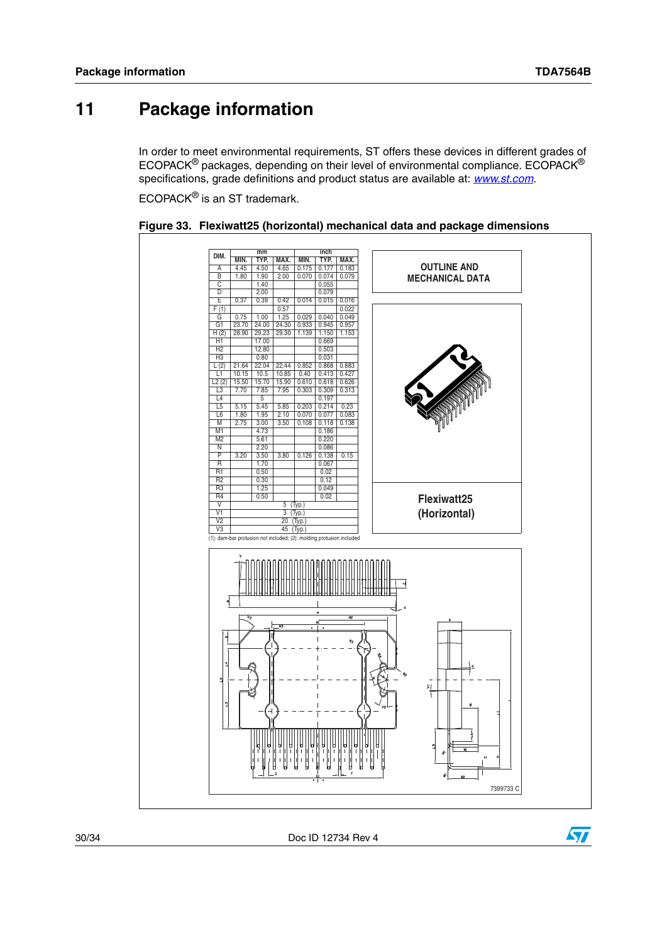# <span id="page-29-0"></span>**11 Package information**

In order to meet environmental requirements, ST offers these devices in different grades of ECOPACK® packages, depending on their level of environmental compliance. ECOPACK® specifications, grade definitions and product status are available at: *[www.st.com](http://www.st.com)*.

ECOPACK® is an ST trademark.



<span id="page-29-1"></span>

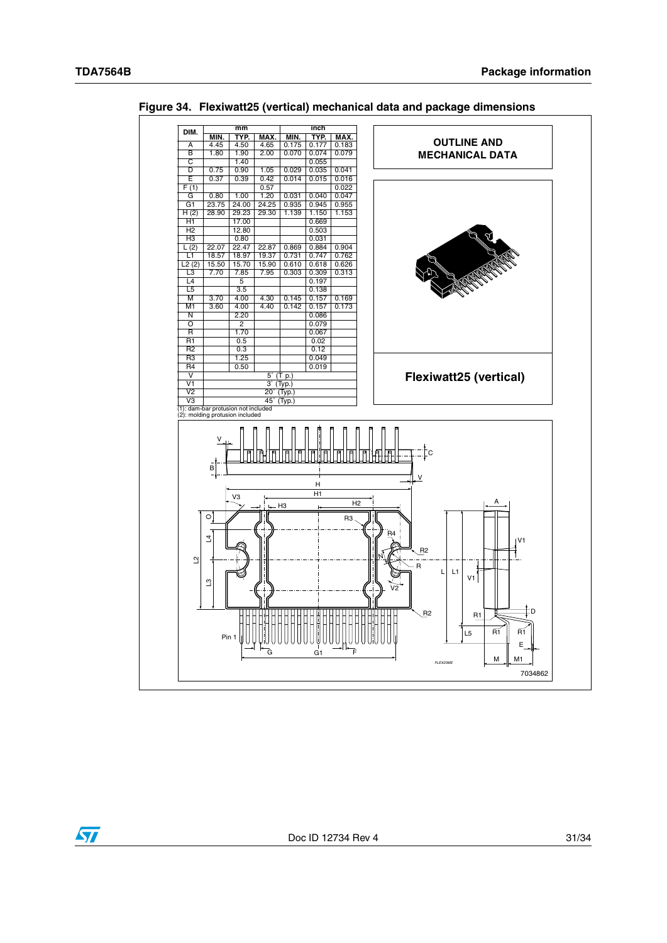$\sqrt{2}$ 



<span id="page-30-0"></span>**Figure 34. Flexiwatt25 (vertical) mechanical data and package dimensions**

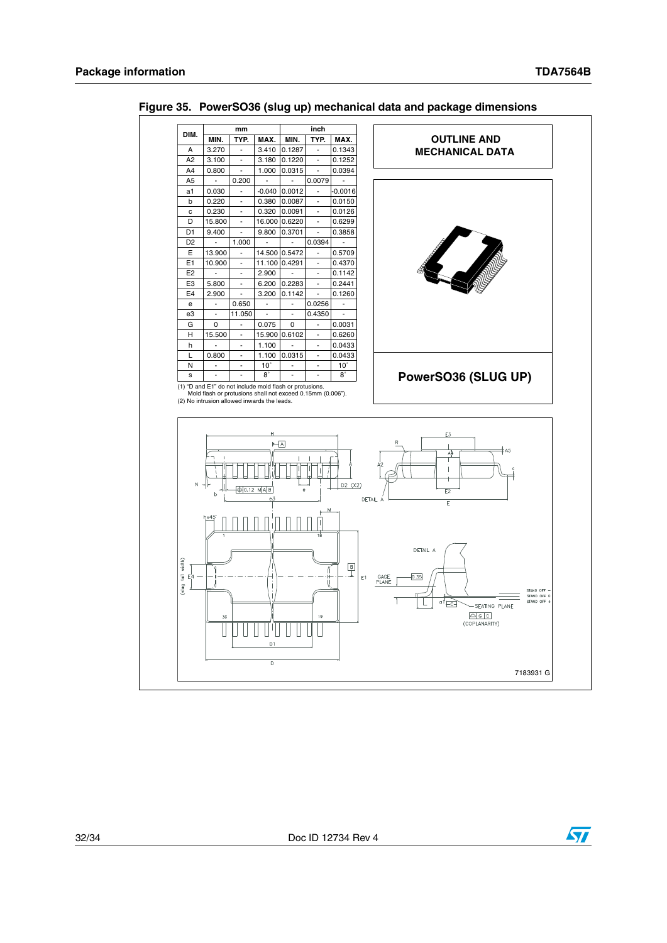

<span id="page-31-0"></span>**Figure 35. PowerSO36 (slug up) mechanical data and package dimensions**



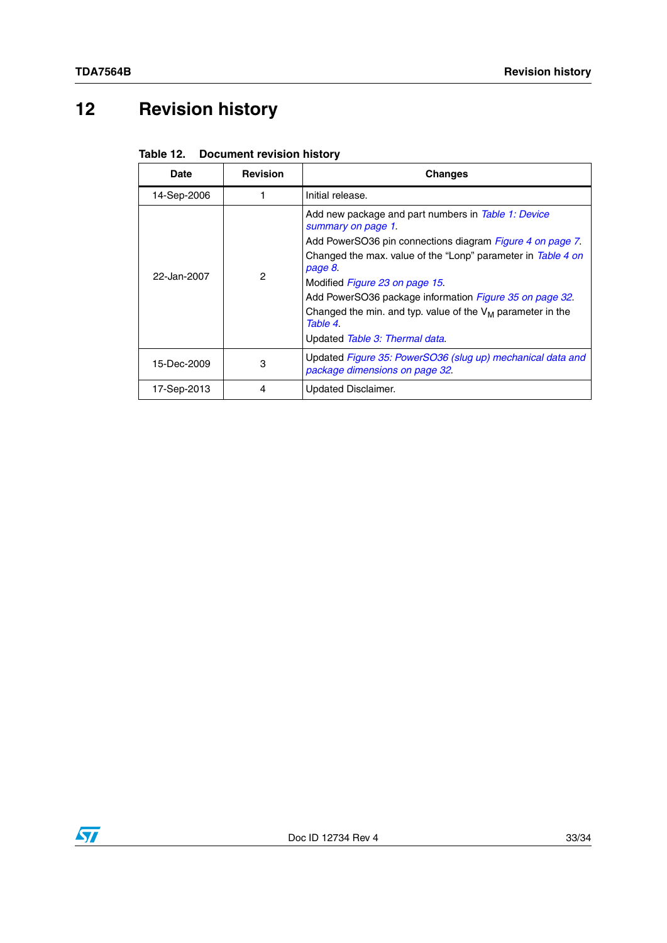# <span id="page-32-0"></span>**12 Revision history**

<span id="page-32-1"></span>

|  | Table 12. Document revision history |
|--|-------------------------------------|
|--|-------------------------------------|

| Date        | <b>Revision</b> | <b>Changes</b>                                                                                                                                                                                                                                                                                                                                                                                                               |
|-------------|-----------------|------------------------------------------------------------------------------------------------------------------------------------------------------------------------------------------------------------------------------------------------------------------------------------------------------------------------------------------------------------------------------------------------------------------------------|
| 14-Sep-2006 |                 | Initial release.                                                                                                                                                                                                                                                                                                                                                                                                             |
| 22-Jan-2007 | 2               | Add new package and part numbers in Table 1: Device<br>summary on page 1.<br>Add PowerSO36 pin connections diagram Figure 4 on page 7.<br>Changed the max. value of the "Lonp" parameter in Table 4 on<br>page 8.<br>Modified Figure 23 on page 15.<br>Add PowerSO36 package information Figure 35 on page 32.<br>Changed the min. and typ. value of the $V_M$ parameter in the<br>Table 4<br>Updated Table 3: Thermal data. |
| 15-Dec-2009 | 3               | Updated Figure 35: PowerSO36 (slug up) mechanical data and<br>package dimensions on page 32.                                                                                                                                                                                                                                                                                                                                 |
| 17-Sep-2013 | 4               | Updated Disclaimer.                                                                                                                                                                                                                                                                                                                                                                                                          |